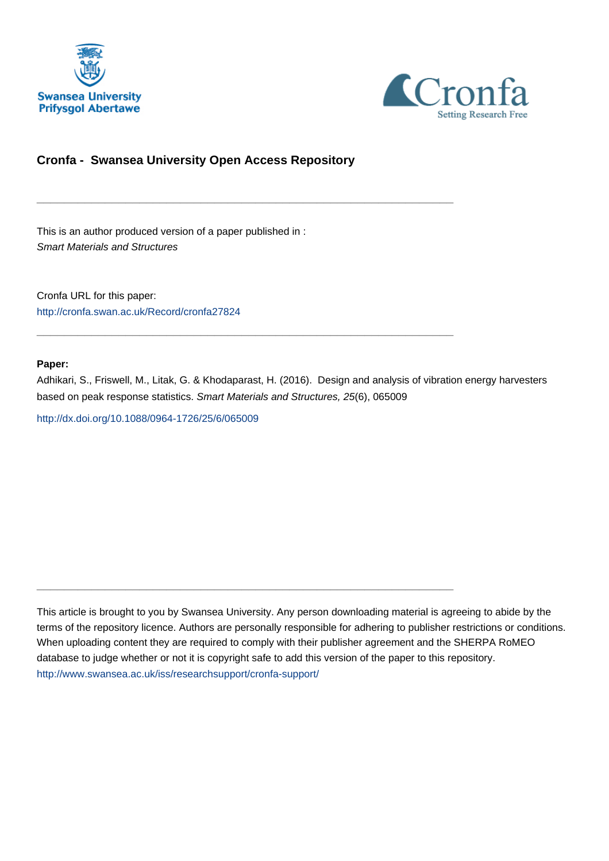



# **Cronfa - Swansea University Open Access Repository**

\_\_\_\_\_\_\_\_\_\_\_\_\_\_\_\_\_\_\_\_\_\_\_\_\_\_\_\_\_\_\_\_\_\_\_\_\_\_\_\_\_\_\_\_\_\_\_\_\_\_\_\_\_\_\_\_\_\_\_\_\_

 $\_$  , and the set of the set of the set of the set of the set of the set of the set of the set of the set of the set of the set of the set of the set of the set of the set of the set of the set of the set of the set of th

 $\_$  , and the set of the set of the set of the set of the set of the set of the set of the set of the set of the set of the set of the set of the set of the set of the set of the set of the set of the set of the set of th

This is an author produced version of a paper published in : Smart Materials and Structures

Cronfa URL for this paper: <http://cronfa.swan.ac.uk/Record/cronfa27824>

# **Paper:**

Adhikari, S., Friswell, M., Litak, G. & Khodaparast, H. (2016). Design and analysis of vibration energy harvesters based on peak response statistics. Smart Materials and Structures, 25(6), 065009

<http://dx.doi.org/10.1088/0964-1726/25/6/065009>

This article is brought to you by Swansea University. Any person downloading material is agreeing to abide by the terms of the repository licence. Authors are personally responsible for adhering to publisher restrictions or conditions. When uploading content they are required to comply with their publisher agreement and the SHERPA RoMEO database to judge whether or not it is copyright safe to add this version of the paper to this repository. [http://www.swansea.ac.uk/iss/researchsupport/cronfa-support/](http://www.swansea.ac.uk/iss/researchsupport/cronfa-support/ )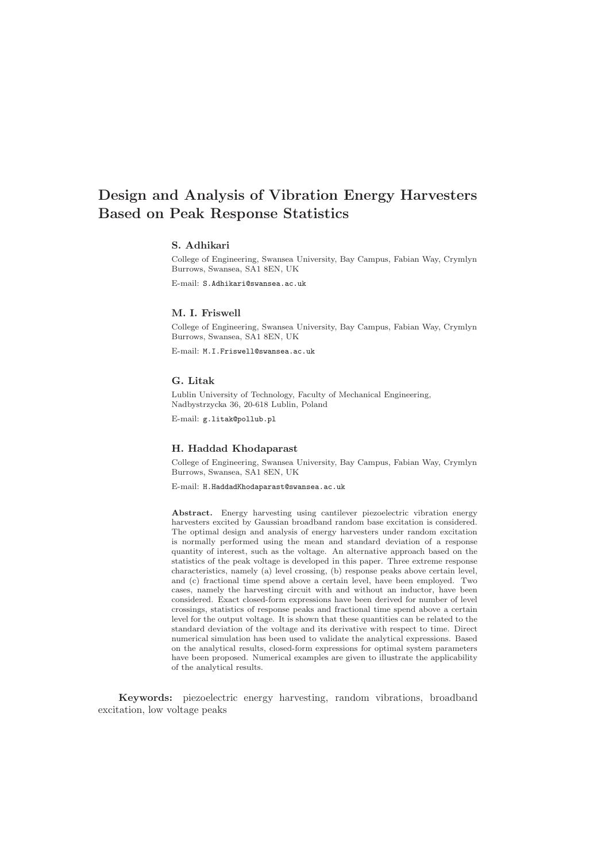# Design and Analysis of Vibration Energy Harvesters Based on Peak Response Statistics

# S. Adhikari

College of Engineering, Swansea University, Bay Campus, Fabian Way, Crymlyn Burrows, Swansea, SA1 8EN, UK

E-mail: S.Adhikari@swansea.ac.uk

### M. I. Friswell

College of Engineering, Swansea University, Bay Campus, Fabian Way, Crymlyn Burrows, Swansea, SA1 8EN, UK

E-mail: M.I.Friswell@swansea.ac.uk

#### G. Litak

Lublin University of Technology, Faculty of Mechanical Engineering, Nadbystrzycka 36, 20-618 Lublin, Poland

E-mail: g.litak@pollub.pl

#### H. Haddad Khodaparast

College of Engineering, Swansea University, Bay Campus, Fabian Way, Crymlyn Burrows, Swansea, SA1 8EN, UK

E-mail: H.HaddadKhodaparast@swansea.ac.uk

Abstract. Energy harvesting using cantilever piezoelectric vibration energy harvesters excited by Gaussian broadband random base excitation is considered. The optimal design and analysis of energy harvesters under random excitation is normally performed using the mean and standard deviation of a response quantity of interest, such as the voltage. An alternative approach based on the statistics of the peak voltage is developed in this paper. Three extreme response characteristics, namely (a) level crossing, (b) response peaks above certain level, and (c) fractional time spend above a certain level, have been employed. Two cases, namely the harvesting circuit with and without an inductor, have been considered. Exact closed-form expressions have been derived for number of level crossings, statistics of response peaks and fractional time spend above a certain level for the output voltage. It is shown that these quantities can be related to the standard deviation of the voltage and its derivative with respect to time. Direct numerical simulation has been used to validate the analytical expressions. Based on the analytical results, closed-form expressions for optimal system parameters have been proposed. Numerical examples are given to illustrate the applicability of the analytical results.

Keywords: piezoelectric energy harvesting, random vibrations, broadband excitation, low voltage peaks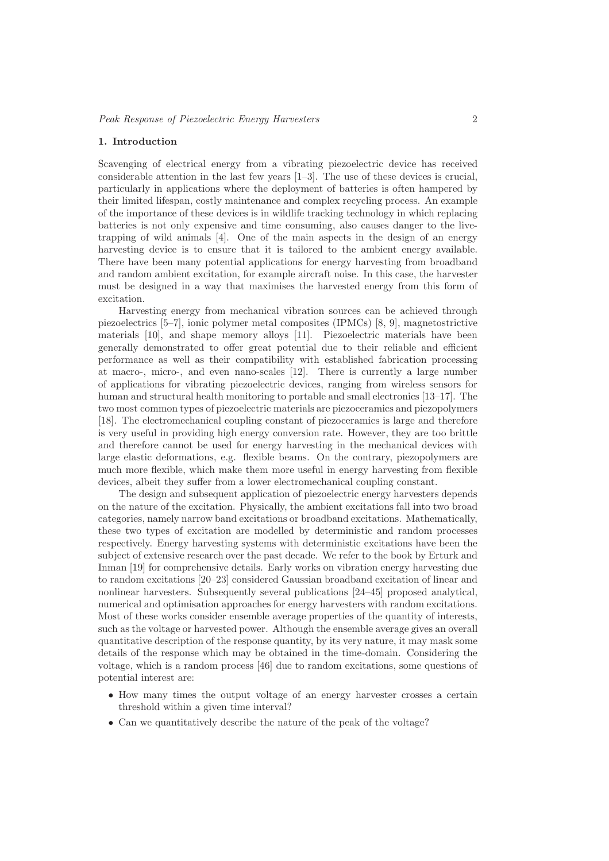#### 1. Introduction

Scavenging of electrical energy from a vibrating piezoelectric device has received considerable attention in the last few years [1–3]. The use of these devices is crucial, particularly in applications where the deployment of batteries is often hampered by their limited lifespan, costly maintenance and complex recycling process. An example of the importance of these devices is in wildlife tracking technology in which replacing batteries is not only expensive and time consuming, also causes danger to the livetrapping of wild animals [4]. One of the main aspects in the design of an energy harvesting device is to ensure that it is tailored to the ambient energy available. There have been many potential applications for energy harvesting from broadband and random ambient excitation, for example aircraft noise. In this case, the harvester must be designed in a way that maximises the harvested energy from this form of excitation.

Harvesting energy from mechanical vibration sources can be achieved through piezoelectrics [5–7], ionic polymer metal composites (IPMCs) [8, 9], magnetostrictive materials [10], and shape memory alloys [11]. Piezoelectric materials have been generally demonstrated to offer great potential due to their reliable and efficient performance as well as their compatibility with established fabrication processing at macro-, micro-, and even nano-scales [12]. There is currently a large number of applications for vibrating piezoelectric devices, ranging from wireless sensors for human and structural health monitoring to portable and small electronics [13–17]. The two most common types of piezoelectric materials are piezoceramics and piezopolymers [18]. The electromechanical coupling constant of piezoceramics is large and therefore is very useful in providing high energy conversion rate. However, they are too brittle and therefore cannot be used for energy harvesting in the mechanical devices with large elastic deformations, e.g. flexible beams. On the contrary, piezopolymers are much more flexible, which make them more useful in energy harvesting from flexible devices, albeit they suffer from a lower electromechanical coupling constant.

The design and subsequent application of piezoelectric energy harvesters depends on the nature of the excitation. Physically, the ambient excitations fall into two broad categories, namely narrow band excitations or broadband excitations. Mathematically, these two types of excitation are modelled by deterministic and random processes respectively. Energy harvesting systems with deterministic excitations have been the subject of extensive research over the past decade. We refer to the book by Erturk and Inman [19] for comprehensive details. Early works on vibration energy harvesting due to random excitations [20–23] considered Gaussian broadband excitation of linear and nonlinear harvesters. Subsequently several publications [24–45] proposed analytical, numerical and optimisation approaches for energy harvesters with random excitations. Most of these works consider ensemble average properties of the quantity of interests, such as the voltage or harvested power. Although the ensemble average gives an overall quantitative description of the response quantity, by its very nature, it may mask some details of the response which may be obtained in the time-domain. Considering the voltage, which is a random process [46] due to random excitations, some questions of potential interest are:

- How many times the output voltage of an energy harvester crosses a certain threshold within a given time interval?
- Can we quantitatively describe the nature of the peak of the voltage?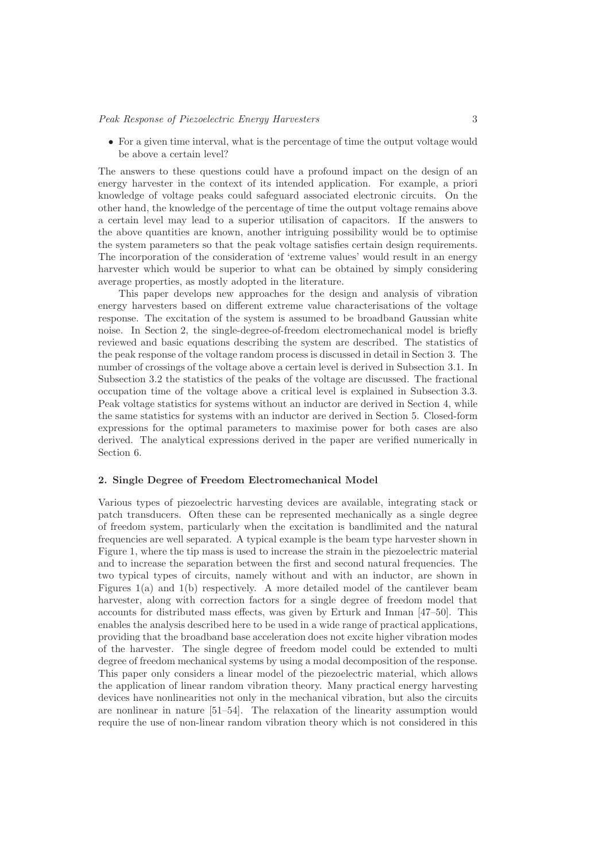• For a given time interval, what is the percentage of time the output voltage would be above a certain level?

The answers to these questions could have a profound impact on the design of an energy harvester in the context of its intended application. For example, a priori knowledge of voltage peaks could safeguard associated electronic circuits. On the other hand, the knowledge of the percentage of time the output voltage remains above a certain level may lead to a superior utilisation of capacitors. If the answers to the above quantities are known, another intriguing possibility would be to optimise the system parameters so that the peak voltage satisfies certain design requirements. The incorporation of the consideration of 'extreme values' would result in an energy harvester which would be superior to what can be obtained by simply considering average properties, as mostly adopted in the literature.

This paper develops new approaches for the design and analysis of vibration energy harvesters based on different extreme value characterisations of the voltage response. The excitation of the system is assumed to be broadband Gaussian white noise. In Section 2, the single-degree-of-freedom electromechanical model is briefly reviewed and basic equations describing the system are described. The statistics of the peak response of the voltage random process is discussed in detail in Section 3. The number of crossings of the voltage above a certain level is derived in Subsection 3.1. In Subsection 3.2 the statistics of the peaks of the voltage are discussed. The fractional occupation time of the voltage above a critical level is explained in Subsection 3.3. Peak voltage statistics for systems without an inductor are derived in Section 4, while the same statistics for systems with an inductor are derived in Section 5. Closed-form expressions for the optimal parameters to maximise power for both cases are also derived. The analytical expressions derived in the paper are verified numerically in Section 6.

# 2. Single Degree of Freedom Electromechanical Model

Various types of piezoelectric harvesting devices are available, integrating stack or patch transducers. Often these can be represented mechanically as a single degree of freedom system, particularly when the excitation is bandlimited and the natural frequencies are well separated. A typical example is the beam type harvester shown in Figure 1, where the tip mass is used to increase the strain in the piezoelectric material and to increase the separation between the first and second natural frequencies. The two typical types of circuits, namely without and with an inductor, are shown in Figures 1(a) and 1(b) respectively. A more detailed model of the cantilever beam harvester, along with correction factors for a single degree of freedom model that accounts for distributed mass effects, was given by Erturk and Inman [47–50]. This enables the analysis described here to be used in a wide range of practical applications, providing that the broadband base acceleration does not excite higher vibration modes of the harvester. The single degree of freedom model could be extended to multi degree of freedom mechanical systems by using a modal decomposition of the response. This paper only considers a linear model of the piezoelectric material, which allows the application of linear random vibration theory. Many practical energy harvesting devices have nonlinearities not only in the mechanical vibration, but also the circuits are nonlinear in nature [51–54]. The relaxation of the linearity assumption would require the use of non-linear random vibration theory which is not considered in this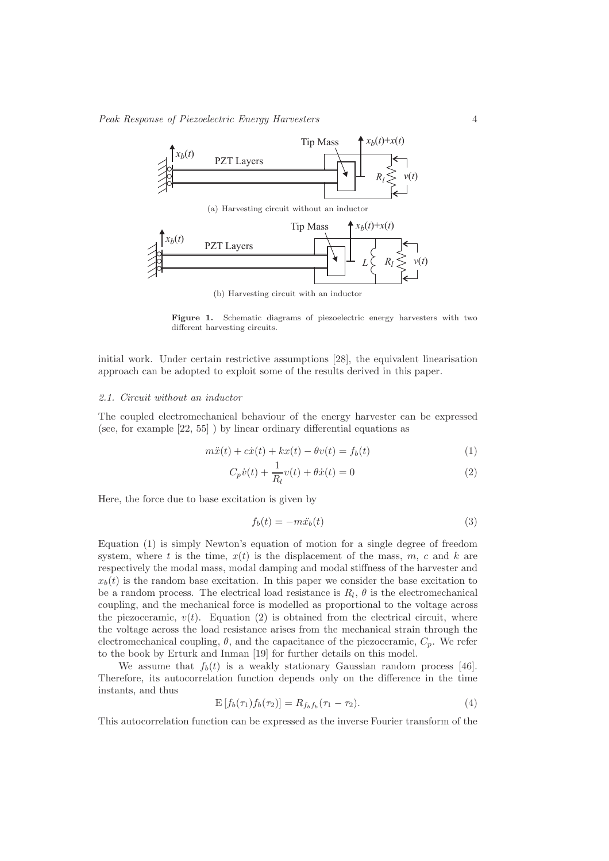

(b) Harvesting circuit with an inductor

Figure 1. Schematic diagrams of piezoelectric energy harvesters with two different harvesting circuits.

initial work. Under certain restrictive assumptions [28], the equivalent linearisation approach can be adopted to exploit some of the results derived in this paper.

### 2.1. Circuit without an inductor

The coupled electromechanical behaviour of the energy harvester can be expressed (see, for example [22, 55] ) by linear ordinary differential equations as

$$
m\ddot{x}(t) + c\dot{x}(t) + kx(t) - \theta v(t) = f_b(t)
$$
\n<sup>(1)</sup>

$$
C_p \dot{v}(t) + \frac{1}{R_l} v(t) + \theta \dot{x}(t) = 0 \tag{2}
$$

Here, the force due to base excitation is given by

$$
f_b(t) = -m\ddot{x}_b(t) \tag{3}
$$

Equation (1) is simply Newton's equation of motion for a single degree of freedom system, where t is the time,  $x(t)$  is the displacement of the mass, m, c and k are respectively the modal mass, modal damping and modal stiffness of the harvester and  $x<sub>b</sub>(t)$  is the random base excitation. In this paper we consider the base excitation to be a random process. The electrical load resistance is  $R_l$ ,  $\theta$  is the electromechanical coupling, and the mechanical force is modelled as proportional to the voltage across the piezoceramic,  $v(t)$ . Equation (2) is obtained from the electrical circuit, where the voltage across the load resistance arises from the mechanical strain through the electromechanical coupling,  $\theta$ , and the capacitance of the piezoceramic,  $C_p$ . We refer to the book by Erturk and Inman [19] for further details on this model.

We assume that  $f_b(t)$  is a weakly stationary Gaussian random process [46]. Therefore, its autocorrelation function depends only on the difference in the time instants, and thus

$$
E[f_b(\tau_1)f_b(\tau_2)] = R_{f_bf_b}(\tau_1 - \tau_2). \tag{4}
$$

This autocorrelation function can be expressed as the inverse Fourier transform of the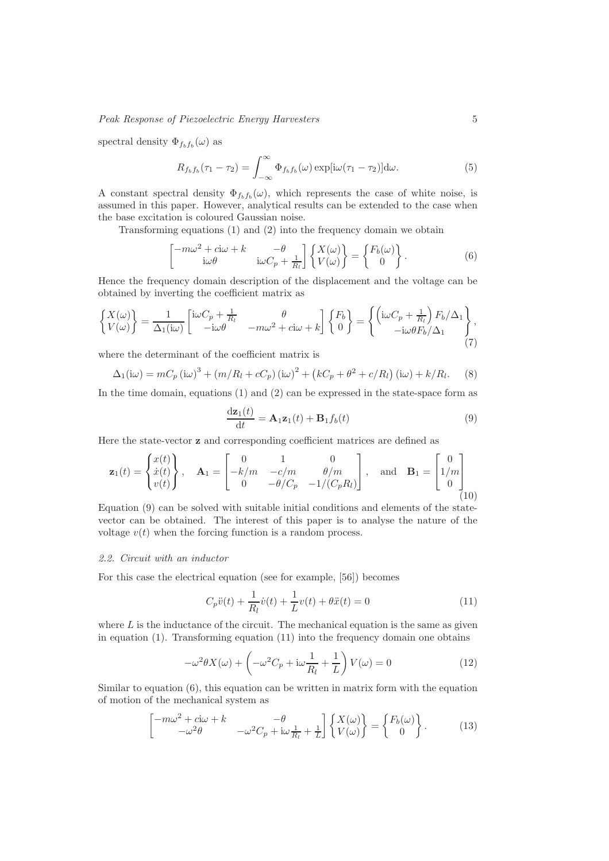spectral density  $\Phi_{f_b f_b}(\omega)$  as

$$
R_{f_b f_b}(\tau_1 - \tau_2) = \int_{-\infty}^{\infty} \Phi_{f_b f_b}(\omega) \exp[i\omega(\tau_1 - \tau_2)] d\omega.
$$
 (5)

A constant spectral density  $\Phi_{f_b f_b}(\omega)$ , which represents the case of white noise, is assumed in this paper. However, analytical results can be extended to the case when the base excitation is coloured Gaussian noise.

Transforming equations (1) and (2) into the frequency domain we obtain

$$
\begin{bmatrix} -m\omega^2 + c\mathbf{i}\omega + k & -\theta \\ \mathbf{i}\omega\theta & \mathbf{i}\omega C_p + \frac{1}{R_l} \end{bmatrix} \begin{Bmatrix} X(\omega) \\ V(\omega) \end{Bmatrix} = \begin{Bmatrix} F_b(\omega) \\ 0 \end{Bmatrix}.
$$
 (6)

Hence the frequency domain description of the displacement and the voltage can be obtained by inverting the coefficient matrix as

$$
\begin{Bmatrix} X(\omega) \\ V(\omega) \end{Bmatrix} = \frac{1}{\Delta_1(i\omega)} \begin{bmatrix} i\omega C_p + \frac{1}{R_l} & \theta \\ -i\omega\theta & -m\omega^2 + c i\omega + k \end{bmatrix} \begin{Bmatrix} F_b \\ 0 \end{Bmatrix} = \begin{Bmatrix} \begin{Bmatrix} i\omega C_p + \frac{1}{R_l} \end{Bmatrix} F_b/\Delta_1 \\ -i\omega\theta F_b/\Delta_1 \end{Bmatrix}, \tag{7}
$$

where the determinant of the coefficient matrix is

$$
\Delta_1(i\omega) = mC_p(i\omega)^3 + (m/R_l + cC_p)(i\omega)^2 + (kC_p + \theta^2 + c/R_l)(i\omega) + k/R_l.
$$
 (8)

In the time domain, equations (1) and (2) can be expressed in the state-space form as

$$
\frac{\mathrm{d}\mathbf{z}_1(t)}{\mathrm{d}t} = \mathbf{A}_1 \mathbf{z}_1(t) + \mathbf{B}_1 f_b(t)
$$
\n(9)

Here the state-vector z and corresponding coefficient matrices are defined as

$$
\mathbf{z}_1(t) = \begin{Bmatrix} x(t) \\ \dot{x}(t) \\ v(t) \end{Bmatrix}, \quad \mathbf{A}_1 = \begin{bmatrix} 0 & 1 & 0 \\ -k/m & -c/m & \theta/m \\ 0 & -\theta/C_p & -1/(C_p R_l) \end{bmatrix}, \quad \text{and} \quad \mathbf{B}_1 = \begin{bmatrix} 0 \\ 1/m \\ 0 \end{bmatrix}
$$
(10)

Equation (9) can be solved with suitable initial conditions and elements of the statevector can be obtained. The interest of this paper is to analyse the nature of the voltage  $v(t)$  when the forcing function is a random process.

# 2.2. Circuit with an inductor

For this case the electrical equation (see for example, [56]) becomes

$$
C_p \ddot{v}(t) + \frac{1}{R_l} \dot{v}(t) + \frac{1}{L} v(t) + \theta \ddot{x}(t) = 0
$$
\n(11)

where  $L$  is the inductance of the circuit. The mechanical equation is the same as given in equation  $(1)$ . Transforming equation  $(11)$  into the frequency domain one obtains

$$
-\omega^2 \theta X(\omega) + \left(-\omega^2 C_p + i\omega \frac{1}{R_l} + \frac{1}{L}\right) V(\omega) = 0
$$
\n(12)

Similar to equation (6), this equation can be written in matrix form with the equation of motion of the mechanical system as

$$
\begin{bmatrix} -m\omega^2 + c\mathrm{i}\omega + k & -\theta \\ -\omega^2 \theta & -\omega^2 C_p + \mathrm{i}\omega \frac{1}{R_l} + \frac{1}{L} \end{bmatrix} \begin{Bmatrix} X(\omega) \\ V(\omega) \end{Bmatrix} = \begin{Bmatrix} F_b(\omega) \\ 0 \end{Bmatrix}.
$$
 (13)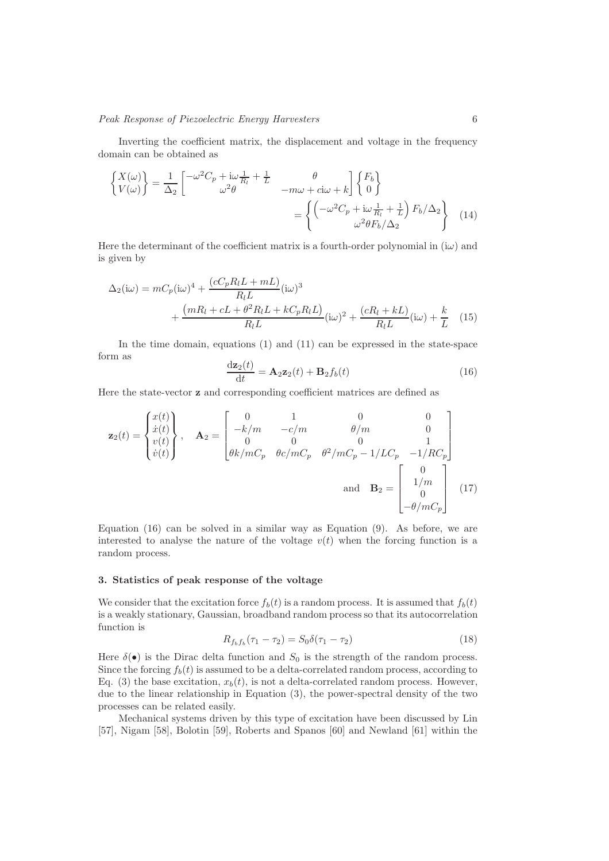Inverting the coefficient matrix, the displacement and voltage in the frequency domain can be obtained as

$$
\begin{aligned}\n\begin{Bmatrix}\nX(\omega) \\
V(\omega)\n\end{Bmatrix} &= \frac{1}{\Delta_2} \begin{bmatrix}\n-\omega^2 C_p + i\omega \frac{1}{R_l} + \frac{1}{L} & \theta \\
\omega^2 \theta & -m\omega + c i\omega + k\n\end{bmatrix} \begin{Bmatrix}\nF_b \\
0\n\end{Bmatrix} \\
&= \begin{Bmatrix}\n\begin{Bmatrix}\n-\omega^2 C_p + i\omega \frac{1}{R_l} + \frac{1}{L}\n\end{Bmatrix} F_b / \Delta_2 \\
\omega^2 \theta F_b / \Delta_2\n\end{Bmatrix}\n\end{aligned} \tag{14}
$$

Here the determinant of the coefficient matrix is a fourth-order polynomial in  $(i\omega)$  and is given by

$$
\Delta_2(i\omega) = mC_p(i\omega)^4 + \frac{(cC_pR_lL + mL)}{R_lL}(i\omega)^3 + \frac{(mR_l + cL + \theta^2R_lL + kC_pR_lL)}{R_lL}(i\omega)^2 + \frac{(cR_l + kL)}{R_lL}(i\omega) + \frac{k}{L}
$$
(15)

In the time domain, equations  $(1)$  and  $(11)$  can be expressed in the state-space form as

$$
\frac{\mathrm{d}\mathbf{z}_2(t)}{\mathrm{d}t} = \mathbf{A}_2 \mathbf{z}_2(t) + \mathbf{B}_2 f_b(t)
$$
\n(16)

Here the state-vector z and corresponding coefficient matrices are defined as

$$
\mathbf{z}_{2}(t) = \begin{cases} x(t) \\ \dot{x}(t) \\ v(t) \\ \dot{v}(t) \end{cases}, \quad \mathbf{A}_{2} = \begin{bmatrix} 0 & 1 & 0 & 0 \\ -k/m & -c/m & \theta/m & 0 \\ 0 & 0 & 0 & 1 \\ \theta k/mC_{p} & \theta c/mC_{p} & \theta^{2}/mC_{p} - 1/LC_{p} & -1/RC_{p} \end{bmatrix}
$$
  
and 
$$
\mathbf{B}_{2} = \begin{bmatrix} 0 \\ 1/m \\ 0 \\ -\theta/mC_{p} \end{bmatrix}
$$
(17)

Equation (16) can be solved in a similar way as Equation (9). As before, we are interested to analyse the nature of the voltage  $v(t)$  when the forcing function is a random process.

# 3. Statistics of peak response of the voltage

We consider that the excitation force  $f_b(t)$  is a random process. It is assumed that  $f_b(t)$ is a weakly stationary, Gaussian, broadband random process so that its autocorrelation function is

$$
R_{f_b f_b}(\tau_1 - \tau_2) = S_0 \delta(\tau_1 - \tau_2)
$$
\n(18)

Here  $\delta(\bullet)$  is the Dirac delta function and  $S_0$  is the strength of the random process. Since the forcing  $f_b(t)$  is assumed to be a delta-correlated random process, according to Eq. (3) the base excitation,  $x_b(t)$ , is not a delta-correlated random process. However, due to the linear relationship in Equation (3), the power-spectral density of the two processes can be related easily.

Mechanical systems driven by this type of excitation have been discussed by Lin [57], Nigam [58], Bolotin [59], Roberts and Spanos [60] and Newland [61] within the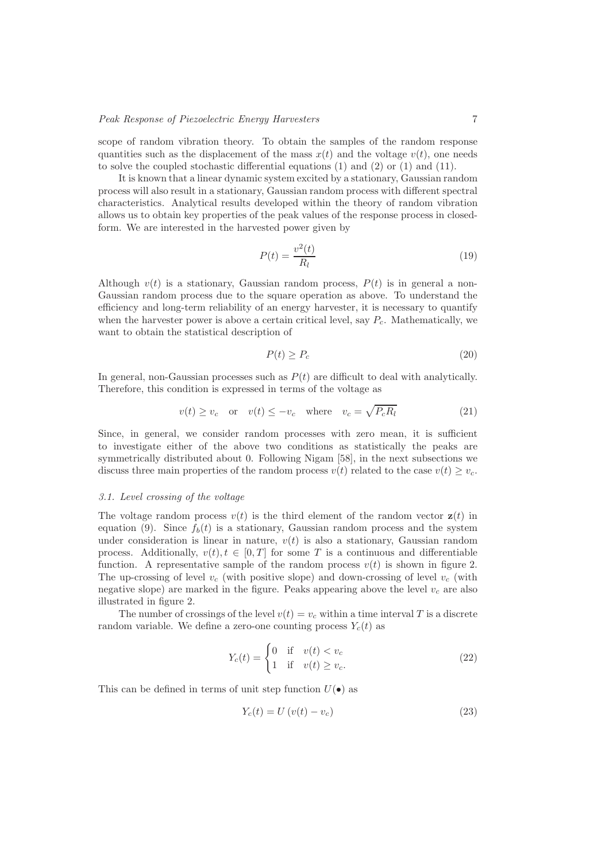scope of random vibration theory. To obtain the samples of the random response quantities such as the displacement of the mass  $x(t)$  and the voltage  $v(t)$ , one needs to solve the coupled stochastic differential equations  $(1)$  and  $(2)$  or  $(1)$  and  $(11)$ .

It is known that a linear dynamic system excited by a stationary, Gaussian random process will also result in a stationary, Gaussian random process with different spectral characteristics. Analytical results developed within the theory of random vibration allows us to obtain key properties of the peak values of the response process in closedform. We are interested in the harvested power given by

$$
P(t) = \frac{v^2(t)}{R_l} \tag{19}
$$

Although  $v(t)$  is a stationary, Gaussian random process,  $P(t)$  is in general a non-Gaussian random process due to the square operation as above. To understand the efficiency and long-term reliability of an energy harvester, it is necessary to quantify when the harvester power is above a certain critical level, say  $P_c$ . Mathematically, we want to obtain the statistical description of

$$
P(t) \ge P_c \tag{20}
$$

In general, non-Gaussian processes such as  $P(t)$  are difficult to deal with analytically. Therefore, this condition is expressed in terms of the voltage as

$$
v(t) \ge v_c \quad \text{or} \quad v(t) \le -v_c \quad \text{where} \quad v_c = \sqrt{P_c R_l} \tag{21}
$$

Since, in general, we consider random processes with zero mean, it is sufficient to investigate either of the above two conditions as statistically the peaks are symmetrically distributed about 0. Following Nigam [58], in the next subsections we discuss three main properties of the random process  $v(t)$  related to the case  $v(t) \ge v_c$ .

# 3.1. Level crossing of the voltage

The voltage random process  $v(t)$  is the third element of the random vector  $z(t)$  in equation (9). Since  $f<sub>b</sub>(t)$  is a stationary, Gaussian random process and the system under consideration is linear in nature,  $v(t)$  is also a stationary, Gaussian random process. Additionally,  $v(t), t \in [0, T]$  for some T is a continuous and differentiable function. A representative sample of the random process  $v(t)$  is shown in figure 2. The up-crossing of level  $v_c$  (with positive slope) and down-crossing of level  $v_c$  (with negative slope) are marked in the figure. Peaks appearing above the level  $v_c$  are also illustrated in figure 2.

The number of crossings of the level  $v(t) = v_c$  within a time interval T is a discrete random variable. We define a zero-one counting process  $Y_c(t)$  as

$$
Y_c(t) = \begin{cases} 0 & \text{if } v(t) < v_c \\ 1 & \text{if } v(t) \ge v_c. \end{cases}
$$
 (22)

This can be defined in terms of unit step function  $U(\bullet)$  as

$$
Y_c(t) = U\left(v(t) - v_c\right) \tag{23}
$$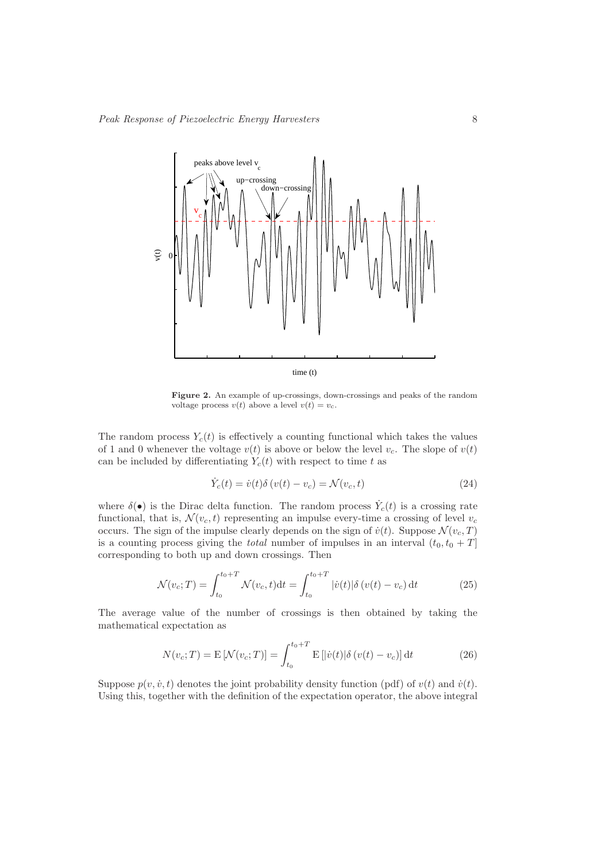

Figure 2. An example of up-crossings, down-crossings and peaks of the random voltage process  $v(t)$  above a level  $v(t) = v_c$ .

The random process  $Y_c(t)$  is effectively a counting functional which takes the values of 1 and 0 whenever the voltage  $v(t)$  is above or below the level  $v_c$ . The slope of  $v(t)$ can be included by differentiating  $Y_c(t)$  with respect to time t as

$$
\dot{Y}_c(t) = \dot{v}(t)\delta(v(t) - v_c) = \mathcal{N}(v_c, t)
$$
\n(24)

where  $\delta(\bullet)$  is the Dirac delta function. The random process  $\dot{Y}_c(t)$  is a crossing rate functional, that is,  $\mathcal{N}(v_c, t)$  representing an impulse every-time a crossing of level  $v_c$ occurs. The sign of the impulse clearly depends on the sign of  $\dot{v}(t)$ . Suppose  $\mathcal{N}(v_c, T)$ is a counting process giving the *total* number of impulses in an interval  $(t_0, t_0 + T]$ corresponding to both up and down crossings. Then

$$
\mathcal{N}(v_c;T) = \int_{t_0}^{t_0+T} \mathcal{N}(v_c,t)dt = \int_{t_0}^{t_0+T} |\dot{v}(t)| \delta(v(t) - v_c) dt
$$
 (25)

The average value of the number of crossings is then obtained by taking the mathematical expectation as

$$
N(v_c;T) = \mathcal{E}\left[N(v_c;T)\right] = \int_{t_0}^{t_0+T} \mathcal{E}\left[|\dot{v}(t)|\delta(v(t)-v_c)\right]dt
$$
 (26)

Suppose  $p(v, \dot{v}, t)$  denotes the joint probability density function (pdf) of  $v(t)$  and  $\dot{v}(t)$ . Using this, together with the definition of the expectation operator, the above integral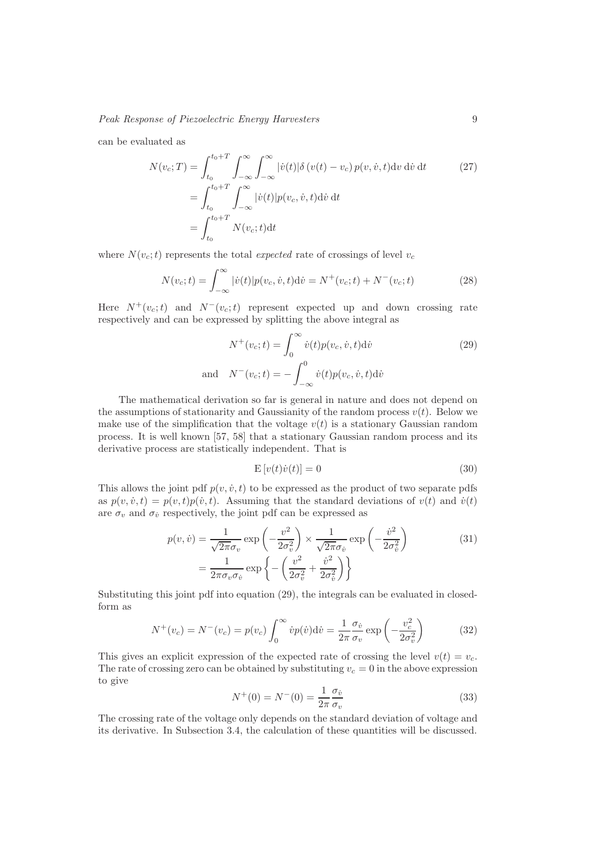can be evaluated as

$$
N(v_c;T) = \int_{t_0}^{t_0+T} \int_{-\infty}^{\infty} \int_{-\infty}^{\infty} |\dot{v}(t)| \delta(v(t) - v_c) p(v, \dot{v}, t) dv dv dt
$$
\n
$$
= \int_{t_0}^{t_0+T} \int_{-\infty}^{\infty} |\dot{v}(t)| p(v_c, \dot{v}, t) dv dt
$$
\n
$$
= \int_{t_0}^{t_0+T} N(v_c; t) dt
$$
\n(27)

where  $N(v_c;t)$  represents the total expected rate of crossings of level  $v_c$ 

$$
N(v_c; t) = \int_{-\infty}^{\infty} |\dot{v}(t)| p(v_c, \dot{v}, t) d\dot{v} = N^+(v_c; t) + N^-(v_c; t)
$$
 (28)

Here  $N^+(v_c;t)$  and  $N^-(v_c;t)$  represent expected up and down crossing rate respectively and can be expressed by splitting the above integral as

$$
N^+(v_c;t) = \int_0^\infty \dot{v}(t)p(v_c, \dot{v}, t) \mathrm{d}\dot{v}
$$
\n
$$
\text{and} \quad N^-(v_c;t) = -\int_{-\infty}^0 \dot{v}(t)p(v_c, \dot{v}, t) \mathrm{d}\dot{v}
$$
\n
$$
(29)
$$

The mathematical derivation so far is general in nature and does not depend on the assumptions of stationarity and Gaussianity of the random process  $v(t)$ . Below we make use of the simplification that the voltage  $v(t)$  is a stationary Gaussian random process. It is well known [57, 58] that a stationary Gaussian random process and its derivative process are statistically independent. That is

$$
E[v(t)\dot{v}(t)] = 0 \tag{30}
$$

This allows the joint pdf  $p(v, \dot{v}, t)$  to be expressed as the product of two separate pdfs as  $p(v, \dot{v}, t) = p(v, t)p(\dot{v}, t)$ . Assuming that the standard deviations of  $v(t)$  and  $\dot{v}(t)$ are  $\sigma_v$  and  $\sigma_{\dot{v}}$  respectively, the joint pdf can be expressed as

$$
p(v, \dot{v}) = \frac{1}{\sqrt{2\pi}\sigma_v} \exp\left(-\frac{v^2}{2\sigma_v^2}\right) \times \frac{1}{\sqrt{2\pi}\sigma_v} \exp\left(-\frac{\dot{v}^2}{2\sigma_v^2}\right)
$$
  
= 
$$
\frac{1}{2\pi\sigma_v\sigma_v} \exp\left\{-\left(\frac{v^2}{2\sigma_v^2} + \frac{\dot{v}^2}{2\sigma_v^2}\right)\right\}
$$
(31)

Substituting this joint pdf into equation (29), the integrals can be evaluated in closedform as

$$
N^{+}(v_c) = N^{-}(v_c) = p(v_c) \int_0^{\infty} \dot{v} p(\dot{v}) d\dot{v} = \frac{1}{2\pi} \frac{\sigma_{\dot{v}}}{\sigma_v} \exp\left(-\frac{v_c^2}{2\sigma_v^2}\right)
$$
(32)

This gives an explicit expression of the expected rate of crossing the level  $v(t) = v_c$ . The rate of crossing zero can be obtained by substituting  $v_c = 0$  in the above expression to give

$$
N^{+}(0) = N^{-}(0) = \frac{1}{2\pi} \frac{\sigma_{\dot{v}}}{\sigma_{v}}
$$
\n(33)

The crossing rate of the voltage only depends on the standard deviation of voltage and its derivative. In Subsection 3.4, the calculation of these quantities will be discussed.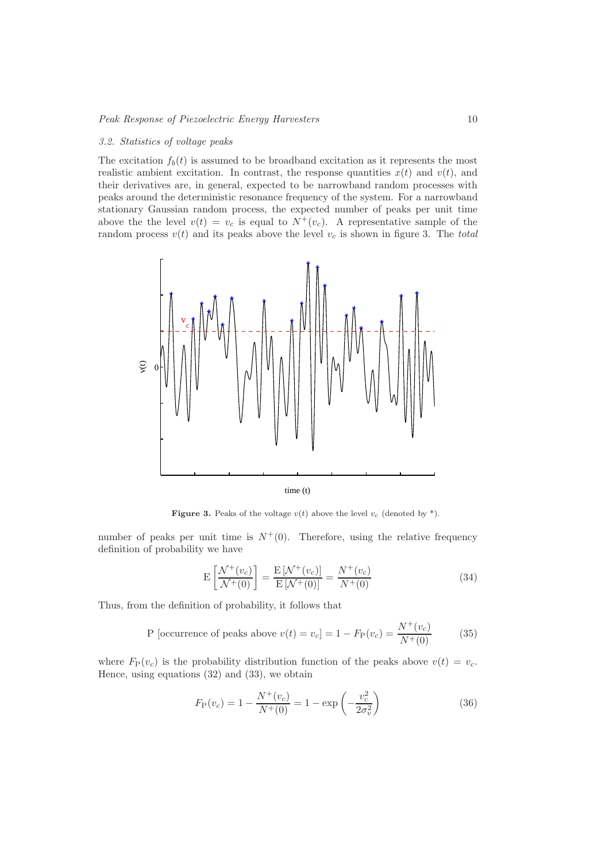# 3.2. Statistics of voltage peaks

The excitation  $f_b(t)$  is assumed to be broadband excitation as it represents the most realistic ambient excitation. In contrast, the response quantities  $x(t)$  and  $v(t)$ , and their derivatives are, in general, expected to be narrowband random processes with peaks around the deterministic resonance frequency of the system. For a narrowband stationary Gaussian random process, the expected number of peaks per unit time above the the level  $v(t) = v_c$  is equal to  $N^+(v_c)$ . A representative sample of the random process  $v(t)$  and its peaks above the level  $v_c$  is shown in figure 3. The total



**Figure 3.** Peaks of the voltage  $v(t)$  above the level  $v_c$  (denoted by \*).

number of peaks per unit time is  $N^+(0)$ . Therefore, using the relative frequency definition of probability we have

$$
E\left[\frac{\mathcal{N}^+(v_c)}{\mathcal{N}^+(0)}\right] = \frac{E\left[\mathcal{N}^+(v_c)\right]}{E\left[\mathcal{N}^+(0)\right]} = \frac{N^+(v_c)}{N^+(0)}\tag{34}
$$

Thus, from the definition of probability, it follows that

P [occurrence of peaks above 
$$
v(t) = v_c
$$
] = 1 -  $F_P(v_c) = \frac{N^+(v_c)}{N^+(0)}$  (35)

where  $F_P(v_c)$  is the probability distribution function of the peaks above  $v(t) = v_c$ . Hence, using equations (32) and (33), we obtain

$$
F_{\rm P}(v_c) = 1 - \frac{N^+(v_c)}{N^+(0)} = 1 - \exp\left(-\frac{v_c^2}{2\sigma_v^2}\right)
$$
 (36)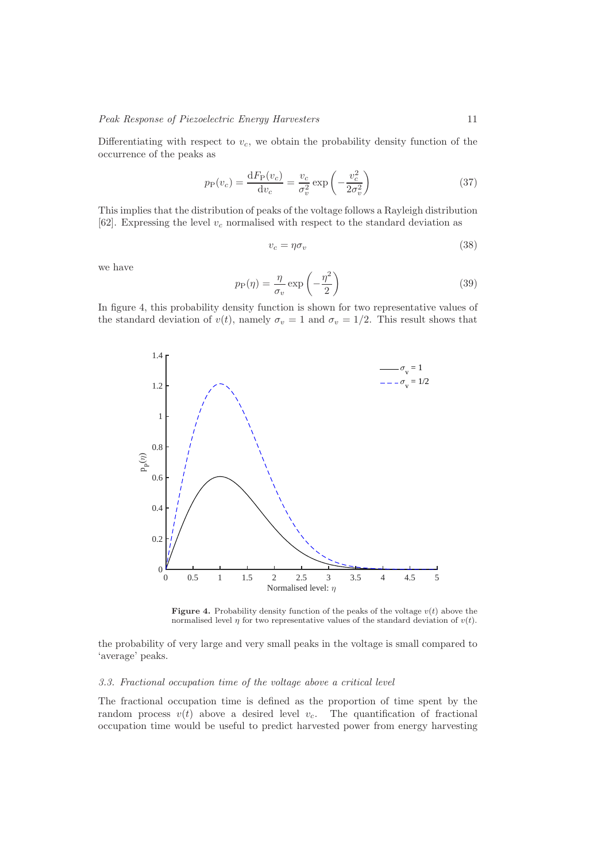Differentiating with respect to  $v_c$ , we obtain the probability density function of the occurrence of the peaks as

$$
p_{\rm P}(v_c) = \frac{\mathrm{d}F_{\rm P}(v_c)}{\mathrm{d}v_c} = \frac{v_c}{\sigma_v^2} \exp\left(-\frac{v_c^2}{2\sigma_v^2}\right) \tag{37}
$$

This implies that the distribution of peaks of the voltage follows a Rayleigh distribution [62]. Expressing the level  $v_c$  normalised with respect to the standard deviation as

$$
v_c = \eta \sigma_v \tag{38}
$$

we have

$$
p_{\rm P}(\eta) = \frac{\eta}{\sigma_v} \exp\left(-\frac{\eta^2}{2}\right) \tag{39}
$$

In figure 4, this probability density function is shown for two representative values of the standard deviation of  $v(t)$ , namely  $\sigma_v = 1$  and  $\sigma_v = 1/2$ . This result shows that



**Figure 4.** Probability density function of the peaks of the voltage  $v(t)$  above the normalised level  $\eta$  for two representative values of the standard deviation of  $v(t)$ .

the probability of very large and very small peaks in the voltage is small compared to 'average' peaks.

#### 3.3. Fractional occupation time of the voltage above a critical level

The fractional occupation time is defined as the proportion of time spent by the random process  $v(t)$  above a desired level  $v_c$ . The quantification of fractional occupation time would be useful to predict harvested power from energy harvesting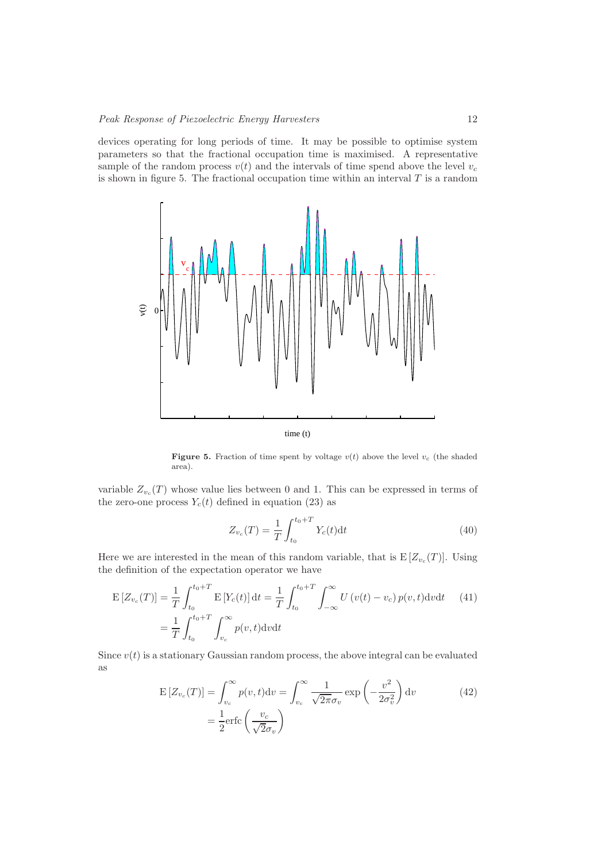devices operating for long periods of time. It may be possible to optimise system parameters so that the fractional occupation time is maximised. A representative sample of the random process  $v(t)$  and the intervals of time spend above the level  $v_c$ is shown in figure 5. The fractional occupation time within an interval  $T$  is a random



**Figure 5.** Fraction of time spent by voltage  $v(t)$  above the level  $v_c$  (the shaded area).

variable  $Z_{v_c}(T)$  whose value lies between 0 and 1. This can be expressed in terms of the zero-one process  $Y_c(t)$  defined in equation (23) as

$$
Z_{v_c}(T) = \frac{1}{T} \int_{t_0}^{t_0+T} Y_c(t) dt
$$
\n(40)

Here we are interested in the mean of this random variable, that is  $E[Z_{v_c}(T)]$ . Using the definition of the expectation operator we have

$$
\mathcal{E}\left[Z_{v_c}(T)\right] = \frac{1}{T} \int_{t_0}^{t_0+T} \mathcal{E}\left[Y_c(t)\right] dt = \frac{1}{T} \int_{t_0}^{t_0+T} \int_{-\infty}^{\infty} U\left(v(t) - v_c\right) p(v, t) dv dt \tag{41}
$$
\n
$$
= \frac{1}{T} \int_{t_0}^{t_0+T} \int_{v_c}^{\infty} p(v, t) dv dt
$$

Since  $v(t)$  is a stationary Gaussian random process, the above integral can be evaluated as

$$
E\left[Z_{v_c}(T)\right] = \int_{v_c}^{\infty} p(v, t) dv = \int_{v_c}^{\infty} \frac{1}{\sqrt{2\pi}\sigma_v} \exp\left(-\frac{v^2}{2\sigma_v^2}\right) dv
$$
\n
$$
= \frac{1}{2} \text{erfc}\left(\frac{v_c}{\sqrt{2}\sigma_v}\right)
$$
\n(42)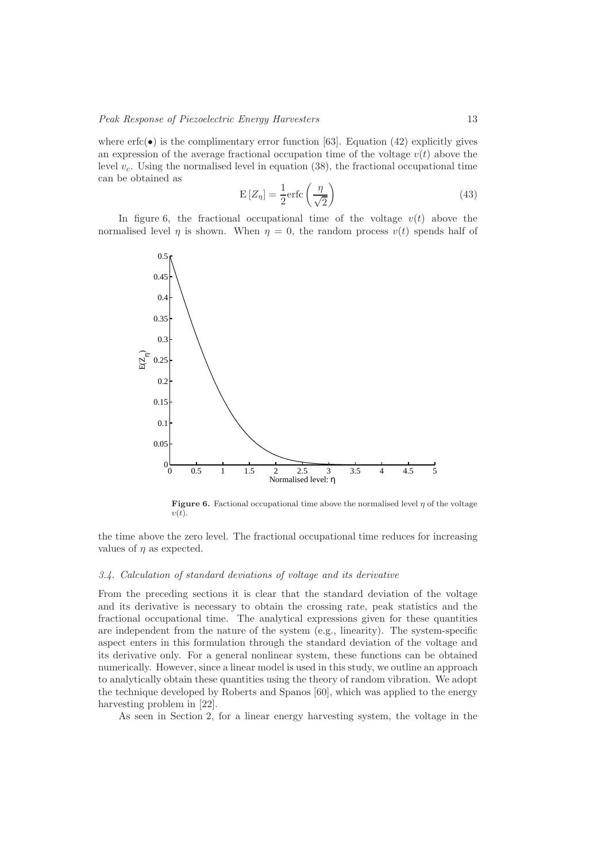where  $erfc(\bullet)$  is the complimentary error function [63]. Equation (42) explicitly gives an expression of the average fractional occupation time of the voltage  $v(t)$  above the level  $v_c$ . Using the normalised level in equation (38), the fractional occupational time can be obtained as

$$
E[Z_{\eta}] = \frac{1}{2} erfc\left(\frac{\eta}{\sqrt{2}}\right)
$$
\n(43)

In figure 6, the fractional occupational time of the voltage  $v(t)$  above the normalised level  $\eta$  is shown. When  $\eta = 0$ , the random process  $v(t)$  spends half of



**Figure 6.** Factional occupational time above the normalised level  $\eta$  of the voltage  $v(t)$ .

the time above the zero level. The fractional occupational time reduces for increasing values of  $\eta$  as expected.

# 3.4. Calculation of standard deviations of voltage and its derivative

From the preceding sections it is clear that the standard deviation of the voltage and its derivative is necessary to obtain the crossing rate, peak statistics and the fractional occupational time. The analytical expressions given for these quantities are independent from the nature of the system (e.g., linearity). The system-specific aspect enters in this formulation through the standard deviation of the voltage and its derivative only. For a general nonlinear system, these functions can be obtained numerically. However, since a linear model is used in this study, we outline an approach to analytically obtain these quantities using the theory of random vibration. We adopt the technique developed by Roberts and Spanos [60], which was applied to the energy harvesting problem in [22].

As seen in Section 2, for a linear energy harvesting system, the voltage in the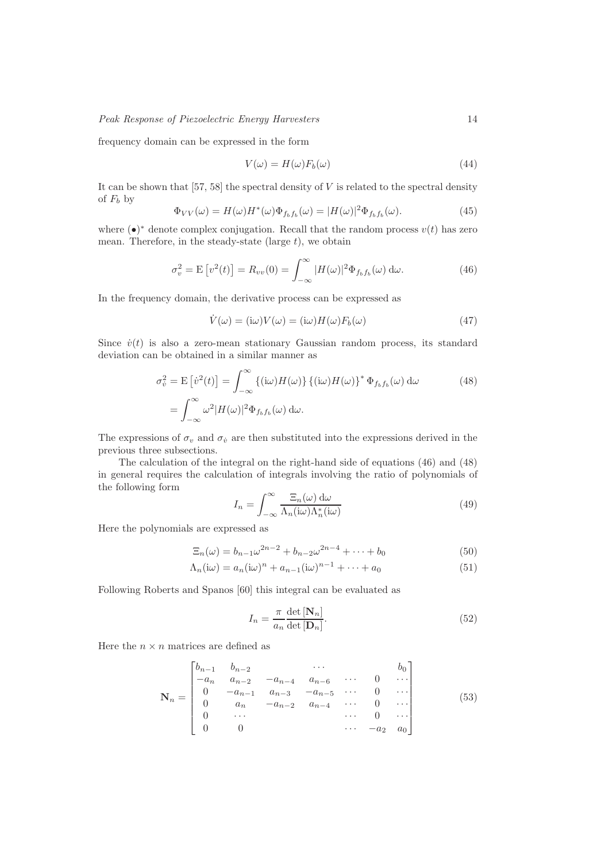frequency domain can be expressed in the form

$$
V(\omega) = H(\omega)F_b(\omega) \tag{44}
$$

It can be shown that  $[57, 58]$  the spectral density of V is related to the spectral density of  $F_b$  by

$$
\Phi_{VV}(\omega) = H(\omega)H^*(\omega)\Phi_{f_bf_b}(\omega) = |H(\omega)|^2\Phi_{f_bf_b}(\omega). \tag{45}
$$

where  $(\bullet)^*$  denote complex conjugation. Recall that the random process  $v(t)$  has zero mean. Therefore, in the steady-state (large  $t$ ), we obtain

$$
\sigma_v^2 = \mathcal{E}\left[v^2(t)\right] = R_{vv}(0) = \int_{-\infty}^{\infty} |H(\omega)|^2 \Phi_{f_b f_b}(\omega) d\omega.
$$
 (46)

In the frequency domain, the derivative process can be expressed as

$$
\dot{V}(\omega) = (i\omega)V(\omega) = (i\omega)H(\omega)F_b(\omega)
$$
\n(47)

Since  $\dot{v}(t)$  is also a zero-mean stationary Gaussian random process, its standard deviation can be obtained in a similar manner as

$$
\sigma_v^2 = \mathbb{E}\left[\dot{v}^2(t)\right] = \int_{-\infty}^{\infty} \left\{ (\mathrm{i}\omega)H(\omega) \right\} \left\{ (\mathrm{i}\omega)H(\omega) \right\}^* \Phi_{f_b f_b}(\omega) \, \mathrm{d}\omega
$$
\n
$$
= \int_{-\infty}^{\infty} \omega^2 |H(\omega)|^2 \Phi_{f_b f_b}(\omega) \, \mathrm{d}\omega.
$$
\n(48)

The expressions of  $\sigma_v$  and  $\sigma_{\dot{v}}$  are then substituted into the expressions derived in the previous three subsections.

The calculation of the integral on the right-hand side of equations (46) and (48) in general requires the calculation of integrals involving the ratio of polynomials of the following form

$$
I_n = \int_{-\infty}^{\infty} \frac{\Xi_n(\omega) \, \mathrm{d}\omega}{\Lambda_n(\mathrm{i}\omega)\Lambda_n^*(\mathrm{i}\omega)}\tag{49}
$$

Here the polynomials are expressed as

$$
\Xi_n(\omega) = b_{n-1}\omega^{2n-2} + b_{n-2}\omega^{2n-4} + \dots + b_0
$$
\n(50)

$$
\Lambda_n(i\omega) = a_n(i\omega)^n + a_{n-1}(i\omega)^{n-1} + \dots + a_0 \tag{51}
$$

Following Roberts and Spanos [60] this integral can be evaluated as

$$
I_n = \frac{\pi}{a_n} \frac{\det\left[\mathbf{N}_n\right]}{\det\left[\mathbf{D}_n\right]}.
$$
\n(52)

Here the  $n \times n$  matrices are defined as

$$
\mathbf{N}_n = \begin{bmatrix} b_{n-1} & b_{n-2} & \cdots & b_0 \\ -a_n & a_{n-2} & -a_{n-4} & a_{n-6} & \cdots & 0 & \cdots \\ 0 & -a_{n-1} & a_{n-3} & -a_{n-5} & \cdots & 0 & \cdots \\ 0 & a_n & -a_{n-2} & a_{n-4} & \cdots & 0 & \cdots \\ 0 & \cdots & \cdots & \cdots & 0 & \cdots \\ 0 & 0 & \cdots & -a_2 & a_0 \end{bmatrix}
$$
(53)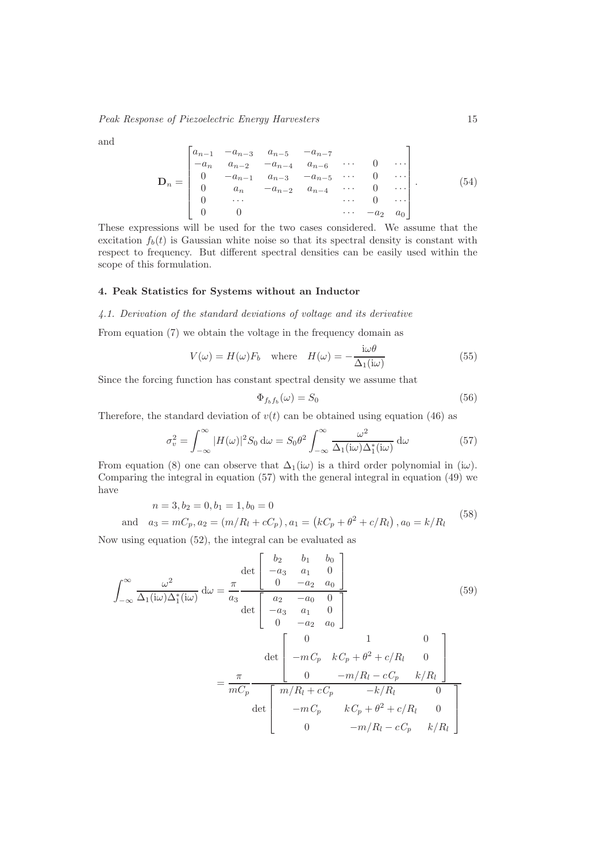and

$$
\mathbf{D}_{n} = \begin{bmatrix} a_{n-1} & -a_{n-3} & a_{n-5} & -a_{n-7} \\ -a_{n} & a_{n-2} & -a_{n-4} & a_{n-6} & \cdots & 0 & \cdots \\ 0 & -a_{n-1} & a_{n-3} & -a_{n-5} & \cdots & 0 & \cdots \\ 0 & a_{n} & -a_{n-2} & a_{n-4} & \cdots & 0 & \cdots \\ 0 & \cdots & \cdots & \cdots & 0 & \cdots \\ 0 & 0 & \cdots & \cdots & -a_{2} & a_{0} \end{bmatrix} . \tag{54}
$$

These expressions will be used for the two cases considered. We assume that the excitation  $f_b(t)$  is Gaussian white noise so that its spectral density is constant with respect to frequency. But different spectral densities can be easily used within the scope of this formulation.

# 4. Peak Statistics for Systems without an Inductor

# 4.1. Derivation of the standard deviations of voltage and its derivative

From equation (7) we obtain the voltage in the frequency domain as

$$
V(\omega) = H(\omega)F_b \quad \text{where} \quad H(\omega) = -\frac{\mathrm{i}\omega\theta}{\Delta_1(\mathrm{i}\omega)}\tag{55}
$$

Since the forcing function has constant spectral density we assume that

$$
\Phi_{f_b f_b}(\omega) = S_0 \tag{56}
$$

Therefore, the standard deviation of  $v(t)$  can be obtained using equation (46) as

$$
\sigma_v^2 = \int_{-\infty}^{\infty} |H(\omega)|^2 S_0 \, \mathrm{d}\omega = S_0 \theta^2 \int_{-\infty}^{\infty} \frac{\omega^2}{\Delta_1(\mathrm{i}\omega)\Delta_1^*(\mathrm{i}\omega)} \, \mathrm{d}\omega \tag{57}
$$

From equation (8) one can observe that  $\Delta_1(i\omega)$  is a third order polynomial in (i $\omega$ ). Comparing the integral in equation (57) with the general integral in equation (49) we have

$$
n = 3, b_2 = 0, b_1 = 1, b_0 = 0
$$
  
and 
$$
a_3 = mC_p, a_2 = (m/R_l + cC_p), a_1 = (kC_p + \theta^2 + c/R_l), a_0 = k/R_l
$$
 (58)

Now using equation (52), the integral can be evaluated as

$$
\int_{-\infty}^{\infty} \frac{\omega^2}{\Delta_1(i\omega)\Delta_1^*(i\omega)} d\omega = \frac{\pi}{a_3} \frac{\det\begin{bmatrix} b_2 & b_1 & b_0 \\ -a_3 & a_1 & 0 \\ 0 & -a_2 & a_0 \end{bmatrix}}{\det\begin{bmatrix} a_2 & -a_0 & 0 \\ -a_3 & a_1 & 0 \\ 0 & -a_2 & a_0 \end{bmatrix}}
$$
(59)  

$$
= \frac{\pi}{mC_p} \frac{\det\begin{bmatrix} 0 & 1 & 0 \\ -mC_p & kC_p + \theta^2 + c/R_l & 0 \\ 0 & -m/R_l - cC_p & k/R_l \end{bmatrix}}{\det\begin{bmatrix} m/R_l + cC_p & -k/R_l & 0 \\ -mC_p & kC_p + \theta^2 + c/R_l & 0 \\ 0 & -m/R_l - cC_p & k/R_l \end{bmatrix}}
$$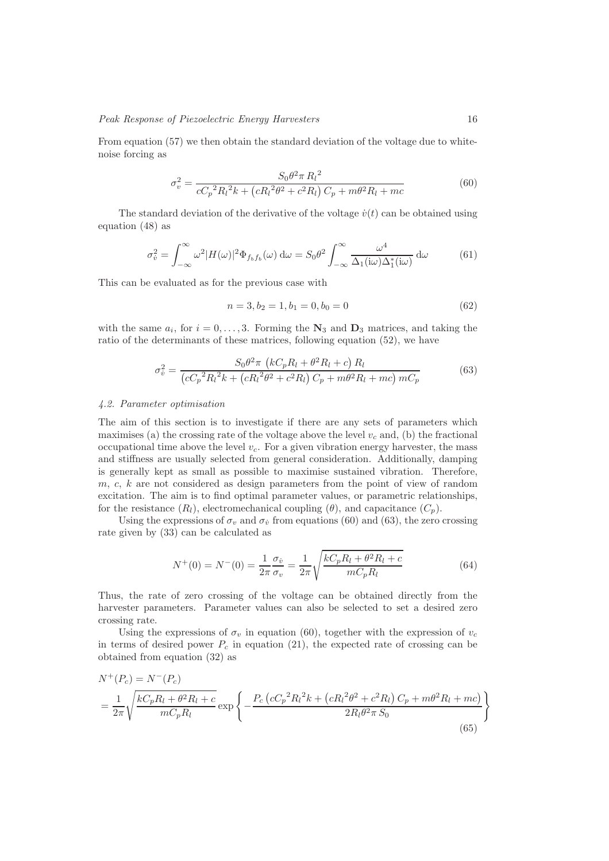From equation (57) we then obtain the standard deviation of the voltage due to whitenoise forcing as

$$
\sigma_v^2 = \frac{S_0 \theta^2 \pi R_l^2}{cC_p^2 R_l^2 k + (cR_l^2 \theta^2 + c^2 R_l) C_p + m\theta^2 R_l + mc}
$$
(60)

The standard deviation of the derivative of the voltage  $\dot{v}(t)$  can be obtained using equation (48) as

$$
\sigma_v^2 = \int_{-\infty}^{\infty} \omega^2 |H(\omega)|^2 \Phi_{f_b f_b}(\omega) d\omega = S_0 \theta^2 \int_{-\infty}^{\infty} \frac{\omega^4}{\Delta_1(i\omega)\Delta_1^*(i\omega)} d\omega \tag{61}
$$

This can be evaluated as for the previous case with

$$
n = 3, b_2 = 1, b_1 = 0, b_0 = 0 \tag{62}
$$

with the same  $a_i$ , for  $i = 0, \ldots, 3$ . Forming the  $\mathbb{N}_3$  and  $\mathbb{D}_3$  matrices, and taking the ratio of the determinants of these matrices, following equation (52), we have

$$
\sigma_{\dot{v}}^2 = \frac{S_0 \theta^2 \pi \left( k C_p R_l + \theta^2 R_l + c \right) R_l}{\left( c C_p^2 R_l^2 k + \left( c R_l^2 \theta^2 + c^2 R_l \right) C_p + m \theta^2 R_l + mc \right) m C_p}
$$
(63)

#### 4.2. Parameter optimisation

The aim of this section is to investigate if there are any sets of parameters which maximises (a) the crossing rate of the voltage above the level  $v_c$  and, (b) the fractional occupational time above the level  $v_c$ . For a given vibration energy harvester, the mass and stiffness are usually selected from general consideration. Additionally, damping is generally kept as small as possible to maximise sustained vibration. Therefore, m, c, k are not considered as design parameters from the point of view of random excitation. The aim is to find optimal parameter values, or parametric relationships, for the resistance  $(R_l)$ , electromechanical coupling  $(\theta)$ , and capacitance  $(C_p)$ .

Using the expressions of  $\sigma_v$  and  $\sigma_{\dot{v}}$  from equations (60) and (63), the zero crossing rate given by (33) can be calculated as

$$
N^{+}(0) = N^{-}(0) = \frac{1}{2\pi} \frac{\sigma_{\dot{v}}}{\sigma_{v}} = \frac{1}{2\pi} \sqrt{\frac{kC_p R_l + \theta^2 R_l + c}{mC_p R_l}}
$$
(64)

Thus, the rate of zero crossing of the voltage can be obtained directly from the harvester parameters. Parameter values can also be selected to set a desired zero crossing rate.

Using the expressions of  $\sigma_v$  in equation (60), together with the expression of  $v_c$ in terms of desired power  $P_c$  in equation (21), the expected rate of crossing can be obtained from equation (32) as

$$
N^{+}(P_c) = N^{-}(P_c)
$$
  
=  $\frac{1}{2\pi} \sqrt{\frac{kC_p R_l + \theta^2 R_l + c}{mC_p R_l}}$  exp $\left\{-\frac{P_c (cC_p^2 R_l^2 k + (cR_l^2 \theta^2 + c^2 R_l) C_p + m\theta^2 R_l + mc)}{2R_l \theta^2 \pi S_0}\right\}$  (65)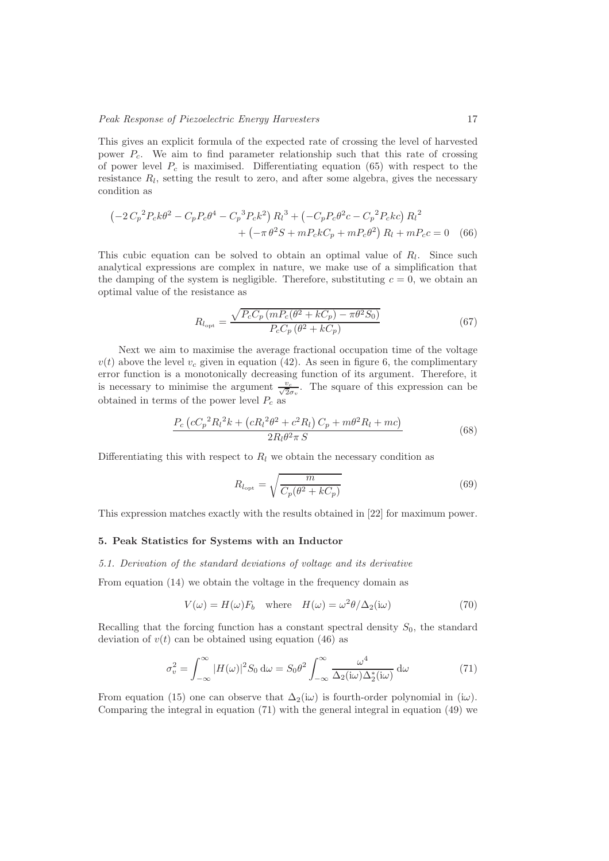This gives an explicit formula of the expected rate of crossing the level of harvested power  $P_c$ . We aim to find parameter relationship such that this rate of crossing of power level  $P_c$  is maximised. Differentiating equation (65) with respect to the resistance  $R_l$ , setting the result to zero, and after some algebra, gives the necessary condition as

$$
\left(-2\,C_p{}^2P_c k\theta^2 - C_p P_c \theta^4 - C_p{}^3 P_c k^2\right) R_l{}^3 + \left(-C_p P_c \theta^2 c - C_p{}^2 P_c k c\right) R_l{}^2 + \left(-\pi \theta^2 S + m P_c k C_p + m P_c \theta^2\right) R_l + m P_c c = 0 \quad (66)
$$

This cubic equation can be solved to obtain an optimal value of  $R_l$ . Since such analytical expressions are complex in nature, we make use of a simplification that the damping of the system is negligible. Therefore, substituting  $c = 0$ , we obtain an optimal value of the resistance as

$$
R_{l_{\rm opt}} = \frac{\sqrt{P_c C_p \left( m P_c (\theta^2 + k C_p) - \pi \theta^2 S_0 \right)}}{P_c C_p (\theta^2 + k C_p)}
$$
(67)

Next we aim to maximise the average fractional occupation time of the voltage  $v(t)$  above the level  $v_c$  given in equation (42). As seen in figure 6, the complimentary error function is a monotonically decreasing function of its argument. Therefore, it is necessary to minimise the argument  $\frac{v_c}{\sqrt{2}\sigma_v}$ . The square of this expression can be obtained in terms of the power level  $P_c$  as

$$
\frac{P_c \left(cC_p^2 R_l^2 k + \left(cR_l^2 \theta^2 + c^2 R_l\right) C_p + m\theta^2 R_l + mc\right)}{2R_l \theta^2 \pi S}
$$
\n(68)

Differentiating this with respect to  $R_l$  we obtain the necessary condition as

$$
R_{l_{\text{opt}}} = \sqrt{\frac{m}{C_p(\theta^2 + kC_p)}}
$$
\n(69)

This expression matches exactly with the results obtained in [22] for maximum power.

### 5. Peak Statistics for Systems with an Inductor

#### 5.1. Derivation of the standard deviations of voltage and its derivative

From equation (14) we obtain the voltage in the frequency domain as

$$
V(\omega) = H(\omega)F_b \quad \text{where} \quad H(\omega) = \omega^2 \theta / \Delta_2(i\omega) \tag{70}
$$

Recalling that the forcing function has a constant spectral density  $S_0$ , the standard deviation of  $v(t)$  can be obtained using equation (46) as

$$
\sigma_v^2 = \int_{-\infty}^{\infty} |H(\omega)|^2 S_0 \, \mathrm{d}\omega = S_0 \theta^2 \int_{-\infty}^{\infty} \frac{\omega^4}{\Delta_2(i\omega)\Delta_2^*(i\omega)} \, \mathrm{d}\omega \tag{71}
$$

From equation (15) one can observe that  $\Delta_2(i\omega)$  is fourth-order polynomial in (i $\omega$ ). Comparing the integral in equation (71) with the general integral in equation (49) we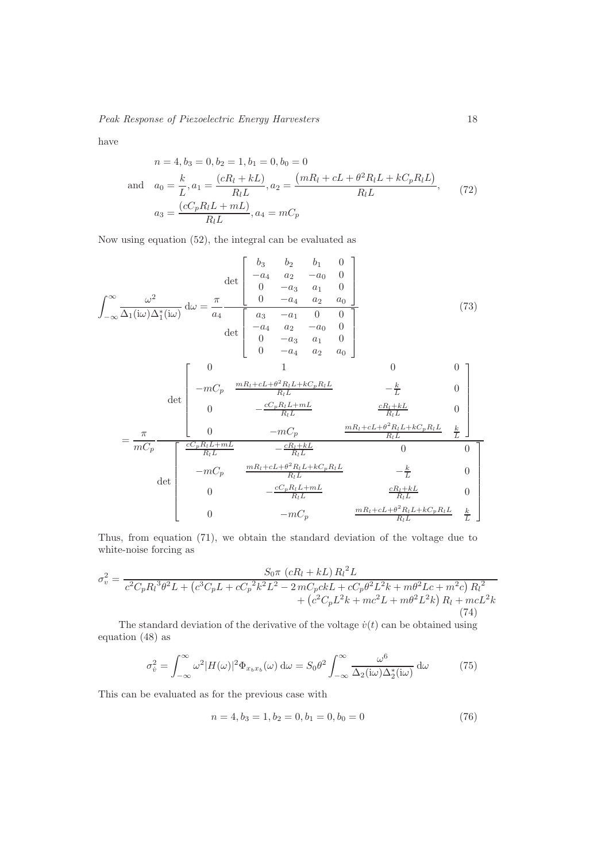have

$$
n = 4, b_3 = 0, b_2 = 1, b_1 = 0, b_0 = 0
$$
  
and 
$$
a_0 = \frac{k}{L}, a_1 = \frac{(cR_l + kL)}{R_lL}, a_2 = \frac{(mR_l + cL + \theta^2 R_l L + kC_p R_l L)}{R_l L},
$$

$$
a_3 = \frac{(cC_p R_l L + mL)}{R_l L}, a_4 = mC_p
$$
(72)

Now using equation (52), the integral can be evaluated as

$$
\int_{-\infty}^{\infty} \frac{\omega^2}{\Delta_1(i\omega)\Delta_1^*(i\omega)} d\omega = \frac{\pi}{a_4} \frac{\begin{bmatrix} b_3 & b_2 & b_1 & 0 \\ -a_4 & a_2 & -a_0 & 0 \\ 0 & -a_3 & a_1 & 0 \\ 0 & -a_4 & a_2 & a_0 \end{bmatrix}}{\det \begin{bmatrix} a_3 & -a_1 & 0 & 0 \\ -a_4 & a_2 & -a_0 & 0 \\ 0 & -a_3 & a_1 & 0 \\ 0 & -a_4 & a_2 & a_0 \end{bmatrix}}
$$
(73)

$$
\det \begin{bmatrix}\n0 & 1 & 0 & 0 \\
-mC_p & \frac{mR_l + cL + \theta^2 R_l L + kC_p R_l L}{R_l L} & -\frac{k}{L} & 0 \\
0 & -\frac{cC_p R_l L + mL}{R_l L} & \frac{cR_l + kL}{R_l L} & 0 \\
\frac{cC_p R_l L + mL}{R_l L} & -mC_p & \frac{mR_l + cL + \theta^2 R_l L + kC_p R_l L}{R_l L} & \frac{k}{L}\n\end{bmatrix}
$$
\n
$$
\det \begin{bmatrix}\n\frac{cC_p R_l L + mL}{R_l L} & -\frac{cR_l + kL}{R_l L} & 0 & 0 \\
-mC_p & \frac{mR_l + cL + \theta^2 R_l L + kC_p R_l L}{R_l L} & -\frac{k}{L} & 0 \\
0 & -\frac{cC_p R_l L + mL}{R_l L} & \frac{cR_l + kL}{R_l L} & 0 \\
0 & -mC_p & \frac{mR_l + cL + \theta^2 R_l L + kC_p R_l L}{R_l L} & \frac{k}{L}\n\end{bmatrix}
$$

Thus, from equation (71), we obtain the standard deviation of the voltage due to white-noise forcing as

$$
\sigma_v^2 = \frac{S_0 \pi (cR_l + kL) R_l^2 L}{c^2 C_p R_l^3 \theta^2 L + (c^3 C_p L + cC_p^2 k^2 L^2 - 2 m C_p c k L + cC_p \theta^2 L^2 k + m \theta^2 L c + m^2 c) R_l^2} + (c^2 C_p L^2 k + m c^2 L + m \theta^2 L^2 k) R_l + m c L^2 k}
$$
\n(74)

The standard deviation of the derivative of the voltage  $\dot{v}(t)$  can be obtained using equation (48) as

$$
\sigma_v^2 = \int_{-\infty}^{\infty} \omega^2 |H(\omega)|^2 \Phi_{x_b x_b}(\omega) d\omega = S_0 \theta^2 \int_{-\infty}^{\infty} \frac{\omega^6}{\Delta_2(i\omega)\Delta_2^*(i\omega)} d\omega \tag{75}
$$

This can be evaluated as for the previous case with

$$
n = 4, b_3 = 1, b_2 = 0, b_1 = 0, b_0 = 0 \tag{76}
$$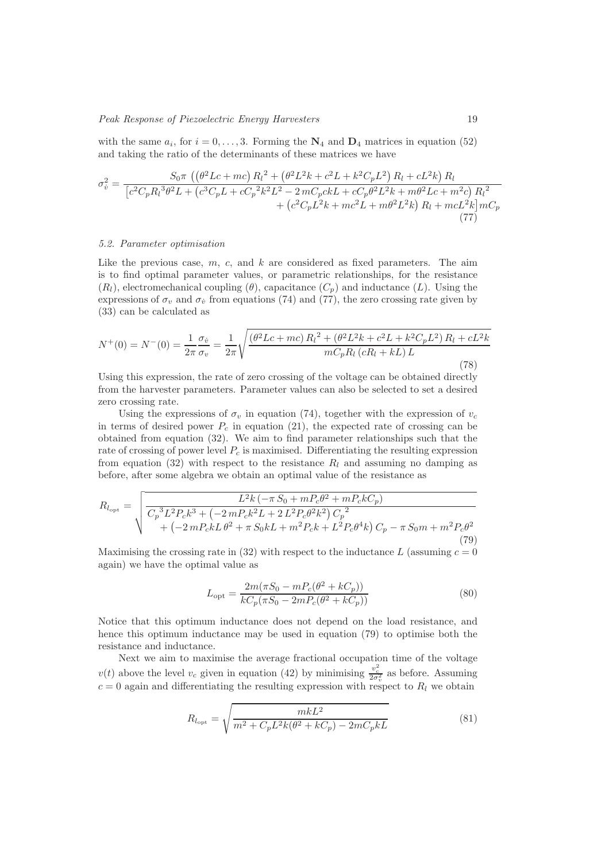with the same  $a_i$ , for  $i = 0, \ldots, 3$ . Forming the  $N_4$  and  $D_4$  matrices in equation (52) and taking the ratio of the determinants of these matrices we have

$$
\sigma_v^2 = \frac{S_0 \pi \left( \left( \theta^2 L c + mc \right) R_l^2 + \left( \theta^2 L^2 k + c^2 L + k^2 C_p L^2 \right) R_l + c L^2 k \right) R_l}{\left[ c^2 C_p R_l^3 \theta^2 L + \left( c^3 C_p L + c C_p^2 k^2 L^2 - 2 m C_p c k L + c C_p \theta^2 L^2 k + m \theta^2 L c + m^2 c \right) R_l^2 + \left( c^2 C_p L^2 k + mc^2 L + m \theta^2 L^2 k \right) R_l + mc^2 k \right] m C_p}
$$
\n(77)

### 5.2. Parameter optimisation

Like the previous case,  $m$ ,  $c$ , and  $k$  are considered as fixed parameters. The aim is to find optimal parameter values, or parametric relationships, for the resistance  $(R_l)$ , electromechanical coupling  $(\theta)$ , capacitance  $(C_p)$  and inductance  $(L)$ . Using the expressions of  $\sigma_v$  and  $\sigma_{\dot{v}}$  from equations (74) and (77), the zero crossing rate given by (33) can be calculated as

$$
N^{+}(0) = N^{-}(0) = \frac{1}{2\pi} \frac{\sigma_{\dot{v}}}{\sigma_{v}} = \frac{1}{2\pi} \sqrt{\frac{\left(\theta^{2}Lc + mc\right)R_{l}^{2} + \left(\theta^{2}L^{2}k + c^{2}L + k^{2}C_{p}L^{2}\right)R_{l} + cL^{2}k}{mC_{p}R_{l}\left(cR_{l} + kL\right)L}}
$$
\n(78)

Using this expression, the rate of zero crossing of the voltage can be obtained directly from the harvester parameters. Parameter values can also be selected to set a desired zero crossing rate.

Using the expressions of  $\sigma_v$  in equation (74), together with the expression of  $v_c$ in terms of desired power  $P_c$  in equation (21), the expected rate of crossing can be obtained from equation (32). We aim to find parameter relationships such that the rate of crossing of power level  $P_c$  is maximised. Differentiating the resulting expression from equation (32) with respect to the resistance  $R_l$  and assuming no damping as before, after some algebra we obtain an optimal value of the resistance as

$$
R_{l_{\text{opt}}} = \sqrt{\frac{L^2 k \left(-\pi S_0 + m P_c \theta^2 + m P_c k C_p\right)}{C_p^3 L^2 P_c k^3 + \left(-2 m P_c k^2 L + 2 L^2 P_c \theta^2 k^2\right) C_p^2} + \left(-2 m P_c k L \theta^2 + \pi S_0 k L + m^2 P_c k + L^2 P_c \theta^4 k\right) C_p - \pi S_0 m + m^2 P_c \theta^2}}\tag{79}
$$

Maximising the crossing rate in (32) with respect to the inductance L (assuming  $c = 0$ again) we have the optimal value as

$$
L_{\rm opt} = \frac{2m(\pi S_0 - mP_c(\theta^2 + kC_p))}{kC_p(\pi S_0 - 2mP_c(\theta^2 + kC_p))}
$$
\n(80)

Notice that this optimum inductance does not depend on the load resistance, and hence this optimum inductance may be used in equation (79) to optimise both the resistance and inductance.

Next we aim to maximise the average fractional occupation time of the voltage  $v(t)$  above the level  $v_c$  given in equation (42) by minimising  $\frac{v_c^2}{2\sigma_v^2}$  as before. Assuming  $c = 0$  again and differentiating the resulting expression with respect to  $R_l$  we obtain

$$
R_{l_{\rm opt}} = \sqrt{\frac{mkL^2}{m^2 + C_p L^2 k(\theta^2 + kC_p) - 2mC_p kL}}
$$
(81)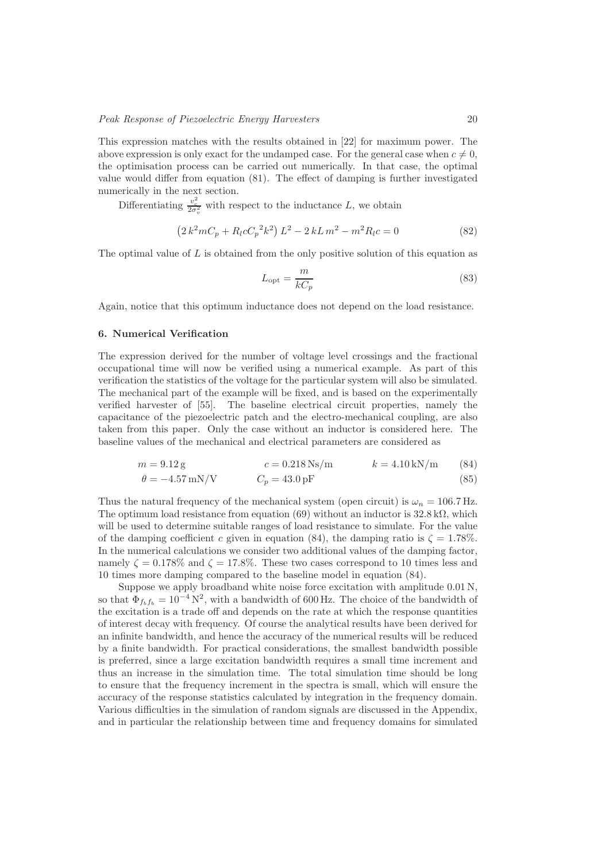This expression matches with the results obtained in [22] for maximum power. The above expression is only exact for the undamped case. For the general case when  $c \neq 0$ , the optimisation process can be carried out numerically. In that case, the optimal value would differ from equation (81). The effect of damping is further investigated numerically in the next section.

Differentiating  $\frac{v_c^2}{2\sigma_v^2}$  with respect to the inductance L, we obtain

$$
(2 k2 m Cp + Rl c Cp2 k2) L2 - 2 k L m2 - m2 Rl c = 0
$$
 (82)

The optimal value of  $L$  is obtained from the only positive solution of this equation as

$$
L_{\rm opt} = \frac{m}{kC_p} \tag{83}
$$

Again, notice that this optimum inductance does not depend on the load resistance.

# 6. Numerical Verification

The expression derived for the number of voltage level crossings and the fractional occupational time will now be verified using a numerical example. As part of this verification the statistics of the voltage for the particular system will also be simulated. The mechanical part of the example will be fixed, and is based on the experimentally verified harvester of [55]. The baseline electrical circuit properties, namely the capacitance of the piezoelectric patch and the electro-mechanical coupling, are also taken from this paper. Only the case without an inductor is considered here. The baseline values of the mechanical and electrical parameters are considered as

$$
m = 9.12 \text{ g} \t c = 0.218 \text{ Ns/m} \t k = 4.10 \text{ kN/m} \t (84)
$$
  

$$
\theta = -4.57 \text{ mN/V} \t C_p = 43.0 \text{ pF} \t (85)
$$

Thus the natural frequency of the mechanical system (open circuit) is  $\omega_n = 106.7$  Hz. The optimum load resistance from equation (69) without an inductor is  $32.8 \text{ k}\Omega$ , which will be used to determine suitable ranges of load resistance to simulate. For the value of the damping coefficient c given in equation (84), the damping ratio is  $\zeta = 1.78\%$ . In the numerical calculations we consider two additional values of the damping factor, namely  $\zeta = 0.178\%$  and  $\zeta = 17.8\%$ . These two cases correspond to 10 times less and 10 times more damping compared to the baseline model in equation (84).

Suppose we apply broadband white noise force excitation with amplitude 0.01 N, so that  $\Phi_{f_b f_b} = 10^{-4} \,\mathrm{N}^2$ , with a bandwidth of 600 Hz. The choice of the bandwidth of the excitation is a trade off and depends on the rate at which the response quantities of interest decay with frequency. Of course the analytical results have been derived for an infinite bandwidth, and hence the accuracy of the numerical results will be reduced by a finite bandwidth. For practical considerations, the smallest bandwidth possible is preferred, since a large excitation bandwidth requires a small time increment and thus an increase in the simulation time. The total simulation time should be long to ensure that the frequency increment in the spectra is small, which will ensure the accuracy of the response statistics calculated by integration in the frequency domain. Various difficulties in the simulation of random signals are discussed in the Appendix, and in particular the relationship between time and frequency domains for simulated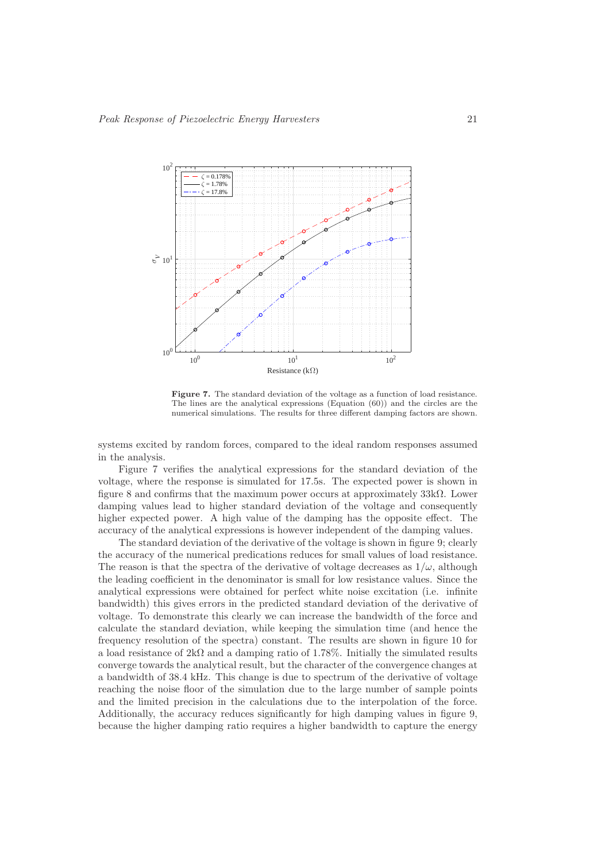![](_page_21_Figure_1.jpeg)

Figure 7. The standard deviation of the voltage as a function of load resistance. The lines are the analytical expressions (Equation (60)) and the circles are the numerical simulations. The results for three different damping factors are shown.

systems excited by random forces, compared to the ideal random responses assumed in the analysis.

Figure 7 verifies the analytical expressions for the standard deviation of the voltage, where the response is simulated for 17.5s. The expected power is shown in figure 8 and confirms that the maximum power occurs at approximately 33kΩ. Lower damping values lead to higher standard deviation of the voltage and consequently higher expected power. A high value of the damping has the opposite effect. The accuracy of the analytical expressions is however independent of the damping values.

The standard deviation of the derivative of the voltage is shown in figure 9; clearly the accuracy of the numerical predications reduces for small values of load resistance. The reason is that the spectra of the derivative of voltage decreases as  $1/\omega$ , although the leading coefficient in the denominator is small for low resistance values. Since the analytical expressions were obtained for perfect white noise excitation (i.e. infinite bandwidth) this gives errors in the predicted standard deviation of the derivative of voltage. To demonstrate this clearly we can increase the bandwidth of the force and calculate the standard deviation, while keeping the simulation time (and hence the frequency resolution of the spectra) constant. The results are shown in figure 10 for a load resistance of  $2k\Omega$  and a damping ratio of 1.78%. Initially the simulated results converge towards the analytical result, but the character of the convergence changes at a bandwidth of 38.4 kHz. This change is due to spectrum of the derivative of voltage reaching the noise floor of the simulation due to the large number of sample points and the limited precision in the calculations due to the interpolation of the force. Additionally, the accuracy reduces significantly for high damping values in figure 9, because the higher damping ratio requires a higher bandwidth to capture the energy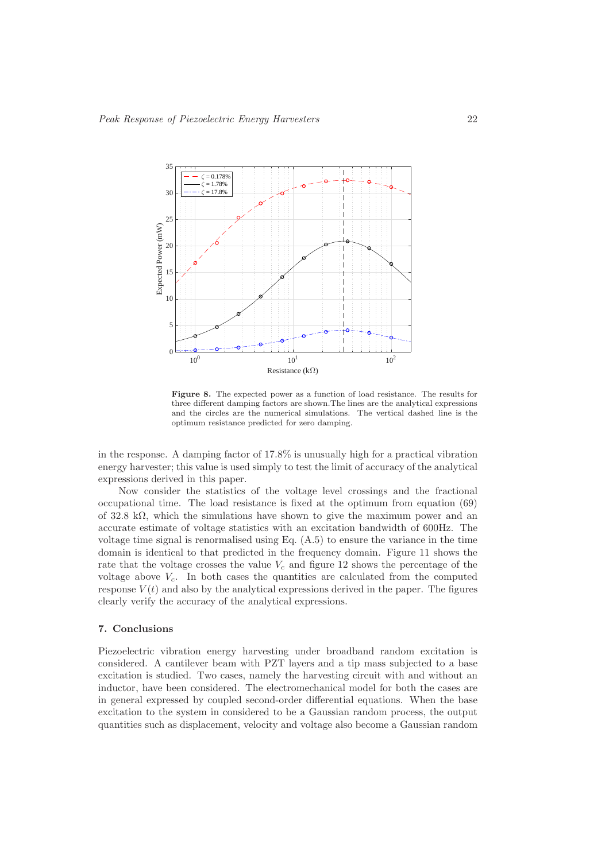![](_page_22_Figure_1.jpeg)

Figure 8. The expected power as a function of load resistance. The results for three different damping factors are shown.The lines are the analytical expressions and the circles are the numerical simulations. The vertical dashed line is the optimum resistance predicted for zero damping.

in the response. A damping factor of 17.8% is unusually high for a practical vibration energy harvester; this value is used simply to test the limit of accuracy of the analytical expressions derived in this paper.

Now consider the statistics of the voltage level crossings and the fractional occupational time. The load resistance is fixed at the optimum from equation (69) of 32.8 k $\Omega$ , which the simulations have shown to give the maximum power and an accurate estimate of voltage statistics with an excitation bandwidth of 600Hz. The voltage time signal is renormalised using Eq. (A.5) to ensure the variance in the time domain is identical to that predicted in the frequency domain. Figure 11 shows the rate that the voltage crosses the value  $V_c$  and figure 12 shows the percentage of the voltage above  $V_c$ . In both cases the quantities are calculated from the computed response  $V(t)$  and also by the analytical expressions derived in the paper. The figures clearly verify the accuracy of the analytical expressions.

# 7. Conclusions

Piezoelectric vibration energy harvesting under broadband random excitation is considered. A cantilever beam with PZT layers and a tip mass subjected to a base excitation is studied. Two cases, namely the harvesting circuit with and without an inductor, have been considered. The electromechanical model for both the cases are in general expressed by coupled second-order differential equations. When the base excitation to the system in considered to be a Gaussian random process, the output quantities such as displacement, velocity and voltage also become a Gaussian random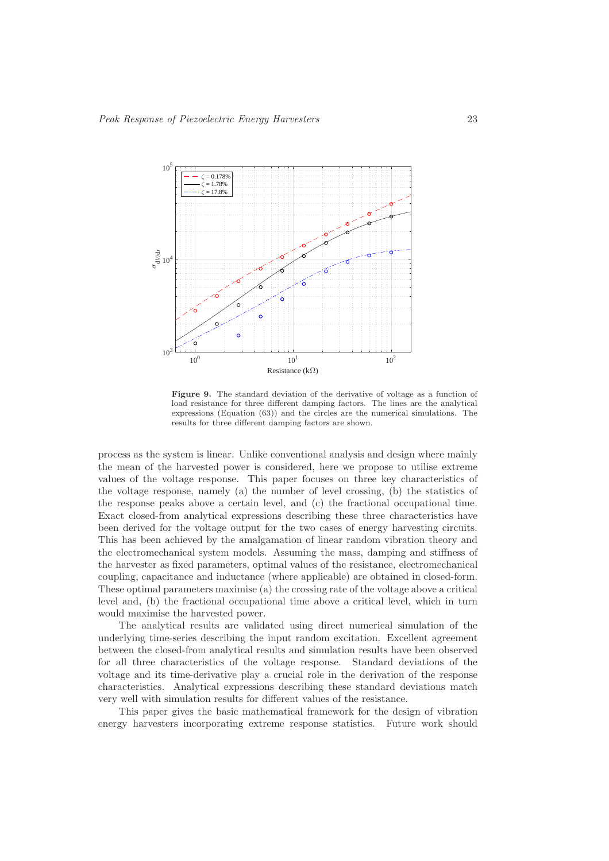![](_page_23_Figure_1.jpeg)

Figure 9. The standard deviation of the derivative of voltage as a function of load resistance for three different damping factors. The lines are the analytical expressions (Equation (63)) and the circles are the numerical simulations. The results for three different damping factors are shown.

process as the system is linear. Unlike conventional analysis and design where mainly the mean of the harvested power is considered, here we propose to utilise extreme values of the voltage response. This paper focuses on three key characteristics of the voltage response, namely (a) the number of level crossing, (b) the statistics of the response peaks above a certain level, and (c) the fractional occupational time. Exact closed-from analytical expressions describing these three characteristics have been derived for the voltage output for the two cases of energy harvesting circuits. This has been achieved by the amalgamation of linear random vibration theory and the electromechanical system models. Assuming the mass, damping and stiffness of the harvester as fixed parameters, optimal values of the resistance, electromechanical coupling, capacitance and inductance (where applicable) are obtained in closed-form. These optimal parameters maximise (a) the crossing rate of the voltage above a critical level and, (b) the fractional occupational time above a critical level, which in turn would maximise the harvested power.

The analytical results are validated using direct numerical simulation of the underlying time-series describing the input random excitation. Excellent agreement between the closed-from analytical results and simulation results have been observed for all three characteristics of the voltage response. Standard deviations of the voltage and its time-derivative play a crucial role in the derivation of the response characteristics. Analytical expressions describing these standard deviations match very well with simulation results for different values of the resistance.

This paper gives the basic mathematical framework for the design of vibration energy harvesters incorporating extreme response statistics. Future work should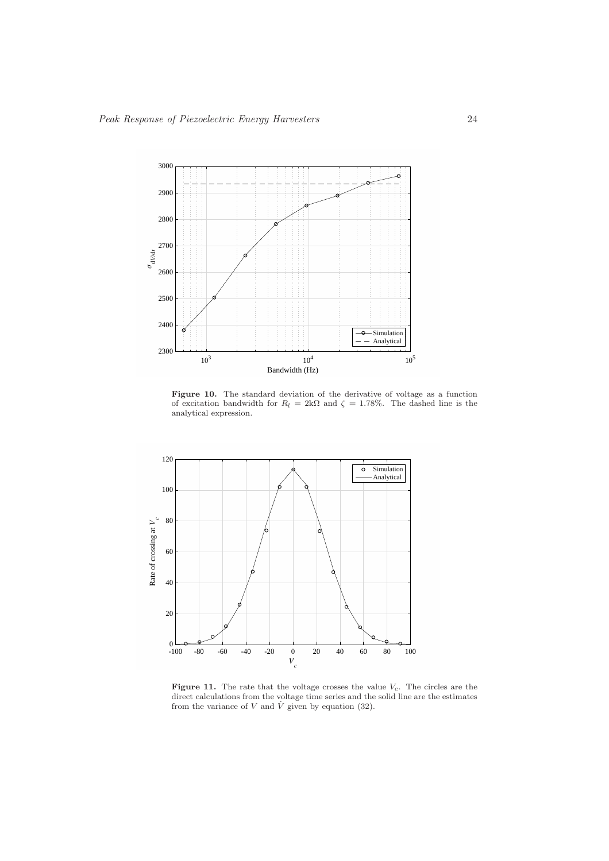![](_page_24_Figure_1.jpeg)

Figure 10. The standard deviation of the derivative of voltage as a function of excitation bandwidth for  $R_l = 2k\Omega$  and  $\zeta = 1.78\%$ . The dashed line is the analytical expression.

![](_page_24_Figure_3.jpeg)

**Figure 11.** The rate that the voltage crosses the value  $V_c$ . The circles are the direct calculations from the voltage time series and the solid line are the estimates from the variance of  $V$  and  $\dot{V}$  given by equation (32).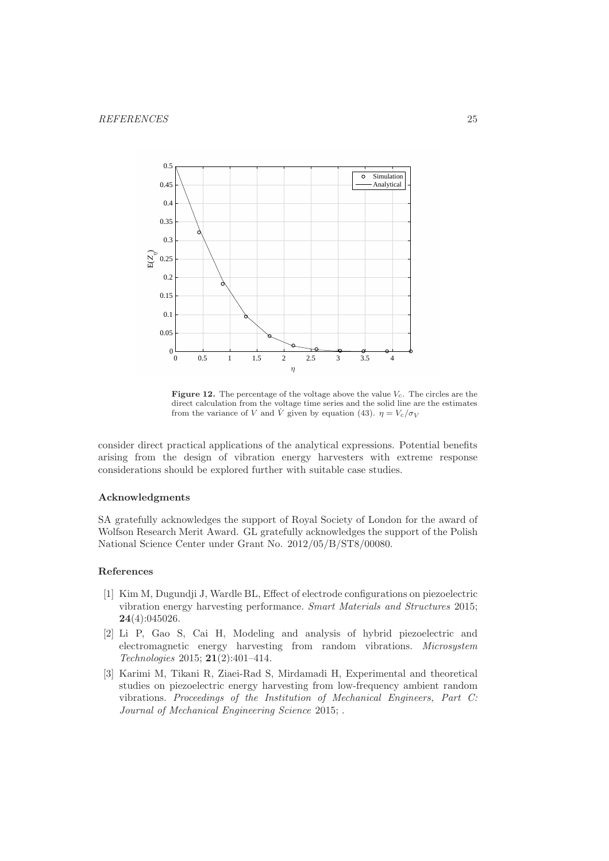![](_page_25_Figure_1.jpeg)

**Figure 12.** The percentage of the voltage above the value  $V_c$ . The circles are the direct calculation from the voltage time series and the solid line are the estimates from the variance of V and V given by equation (43).  $\eta = V_c/\sigma_V$ 

consider direct practical applications of the analytical expressions. Potential benefits arising from the design of vibration energy harvesters with extreme response considerations should be explored further with suitable case studies.

# Acknowledgments

SA gratefully acknowledges the support of Royal Society of London for the award of Wolfson Research Merit Award. GL gratefully acknowledges the support of the Polish National Science Center under Grant No. 2012/05/B/ST8/00080.

# References

- [1] Kim M, Dugundji J, Wardle BL, Effect of electrode configurations on piezoelectric vibration energy harvesting performance. Smart Materials and Structures 2015;  $24(4):045026.$
- [2] Li P, Gao S, Cai H, Modeling and analysis of hybrid piezoelectric and electromagnetic energy harvesting from random vibrations. Microsystem Technologies 2015; 21(2):401–414.
- [3] Karimi M, Tikani R, Ziaei-Rad S, Mirdamadi H, Experimental and theoretical studies on piezoelectric energy harvesting from low-frequency ambient random vibrations. Proceedings of the Institution of Mechanical Engineers, Part C: Journal of Mechanical Engineering Science 2015; .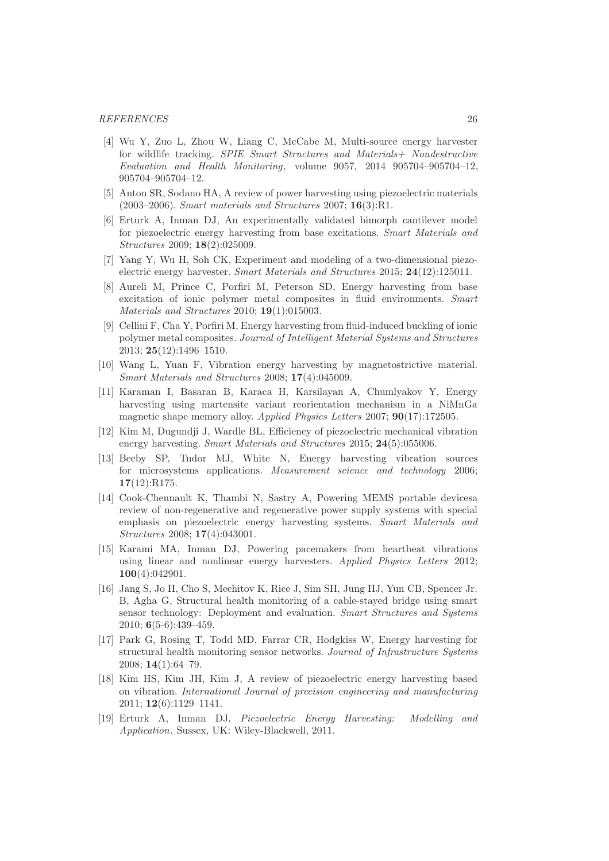- [4] Wu Y, Zuo L, Zhou W, Liang C, McCabe M, Multi-source energy harvester for wildlife tracking. SPIE Smart Structures and Materials+ Nondestructive Evaluation and Health Monitoring, volume 9057, 2014 905704–905704–12, 905704–905704–12.
- [5] Anton SR, Sodano HA, A review of power harvesting using piezoelectric materials (2003–2006). Smart materials and Structures 2007; 16(3):R1.
- [6] Erturk A, Inman DJ, An experimentally validated bimorph cantilever model for piezoelectric energy harvesting from base excitations. Smart Materials and Structures 2009; 18(2):025009.
- [7] Yang Y, Wu H, Soh CK, Experiment and modeling of a two-dimensional piezoelectric energy harvester. Smart Materials and Structures 2015; 24(12):125011.
- [8] Aureli M, Prince C, Porfiri M, Peterson SD, Energy harvesting from base excitation of ionic polymer metal composites in fluid environments. Smart Materials and Structures 2010; **19**(1):015003.
- [9] Cellini F, Cha Y, Porfiri M, Energy harvesting from fluid-induced buckling of ionic polymer metal composites. Journal of Intelligent Material Systems and Structures 2013; 25(12):1496–1510.
- [10] Wang L, Yuan F, Vibration energy harvesting by magnetostrictive material. Smart Materials and Structures 2008; 17(4):045009.
- [11] Karaman I, Basaran B, Karaca H, Karsilayan A, Chumlyakov Y, Energy harvesting using martensite variant reorientation mechanism in a NiMnGa magnetic shape memory alloy. Applied Physics Letters 2007; 90(17):172505.
- [12] Kim M, Dugundji J, Wardle BL, Efficiency of piezoelectric mechanical vibration energy harvesting. Smart Materials and Structures 2015; 24(5):055006.
- [13] Beeby SP, Tudor MJ, White N, Energy harvesting vibration sources for microsystems applications. Measurement science and technology 2006; 17(12):R175.
- [14] Cook-Chennault K, Thambi N, Sastry A, Powering MEMS portable devicesa review of non-regenerative and regenerative power supply systems with special emphasis on piezoelectric energy harvesting systems. Smart Materials and Structures 2008; 17(4):043001.
- [15] Karami MA, Inman DJ, Powering pacemakers from heartbeat vibrations using linear and nonlinear energy harvesters. Applied Physics Letters 2012; 100(4):042901.
- [16] Jang S, Jo H, Cho S, Mechitov K, Rice J, Sim SH, Jung HJ, Yun CB, Spencer Jr. B, Agha G, Structural health monitoring of a cable-stayed bridge using smart sensor technology: Deployment and evaluation. Smart Structures and Systems 2010; 6(5-6):439–459.
- [17] Park G, Rosing T, Todd MD, Farrar CR, Hodgkiss W, Energy harvesting for structural health monitoring sensor networks. Journal of Infrastructure Systems  $2008$ ;  $14(1)$ :64-79.
- [18] Kim HS, Kim JH, Kim J, A review of piezoelectric energy harvesting based on vibration. International Journal of precision engineering and manufacturing 2011; 12(6):1129–1141.
- [19] Erturk A, Inman DJ, Piezoelectric Energy Harvesting: Modelling and Application. Sussex, UK: Wiley-Blackwell, 2011.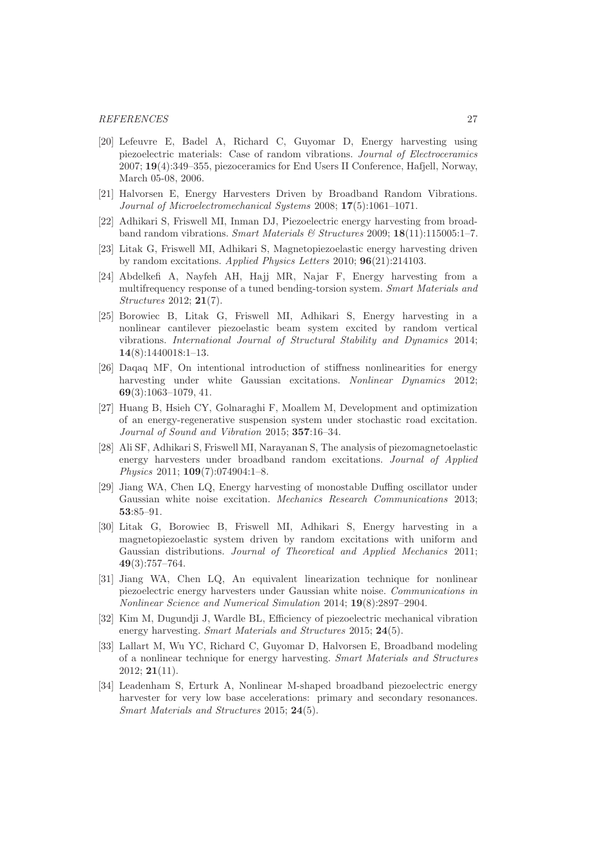- [20] Lefeuvre E, Badel A, Richard C, Guyomar D, Energy harvesting using piezoelectric materials: Case of random vibrations. Journal of Electroceramics 2007; 19(4):349–355, piezoceramics for End Users II Conference, Hafjell, Norway, March 05-08, 2006.
- [21] Halvorsen E, Energy Harvesters Driven by Broadband Random Vibrations. Journal of Microelectromechanical Systems 2008; 17(5):1061–1071.
- [22] Adhikari S, Friswell MI, Inman DJ, Piezoelectric energy harvesting from broadband random vibrations. Smart Materials & Structures 2009;  $18(11):115005:1-7$ .
- [23] Litak G, Friswell MI, Adhikari S, Magnetopiezoelastic energy harvesting driven by random excitations. Applied Physics Letters 2010; 96(21):214103.
- [24] Abdelkefi A, Nayfeh AH, Hajj MR, Najar F, Energy harvesting from a multifrequency response of a tuned bending-torsion system. Smart Materials and Structures 2012; 21(7).
- [25] Borowiec B, Litak G, Friswell MI, Adhikari S, Energy harvesting in a nonlinear cantilever piezoelastic beam system excited by random vertical vibrations. International Journal of Structural Stability and Dynamics 2014; 14(8):1440018:1–13.
- [26] Daqaq MF, On intentional introduction of stiffness nonlinearities for energy harvesting under white Gaussian excitations. Nonlinear Dynamics 2012; 69(3):1063–1079, 41.
- [27] Huang B, Hsieh CY, Golnaraghi F, Moallem M, Development and optimization of an energy-regenerative suspension system under stochastic road excitation. Journal of Sound and Vibration 2015; 357:16–34.
- [28] Ali SF, Adhikari S, Friswell MI, Narayanan S, The analysis of piezomagnetoelastic energy harvesters under broadband random excitations. Journal of Applied Physics 2011; 109(7):074904:1–8.
- [29] Jiang WA, Chen LQ, Energy harvesting of monostable Duffing oscillator under Gaussian white noise excitation. Mechanics Research Communications 2013; 53:85–91.
- [30] Litak G, Borowiec B, Friswell MI, Adhikari S, Energy harvesting in a magnetopiezoelastic system driven by random excitations with uniform and Gaussian distributions. Journal of Theoretical and Applied Mechanics 2011; 49(3):757–764.
- [31] Jiang WA, Chen LQ, An equivalent linearization technique for nonlinear piezoelectric energy harvesters under Gaussian white noise. Communications in Nonlinear Science and Numerical Simulation 2014; 19(8):2897–2904.
- [32] Kim M, Dugundji J, Wardle BL, Efficiency of piezoelectric mechanical vibration energy harvesting. Smart Materials and Structures 2015; 24(5).
- [33] Lallart M, Wu YC, Richard C, Guyomar D, Halvorsen E, Broadband modeling of a nonlinear technique for energy harvesting. Smart Materials and Structures  $2012; 21(11).$
- [34] Leadenham S, Erturk A, Nonlinear M-shaped broadband piezoelectric energy harvester for very low base accelerations: primary and secondary resonances. Smart Materials and Structures 2015; 24(5).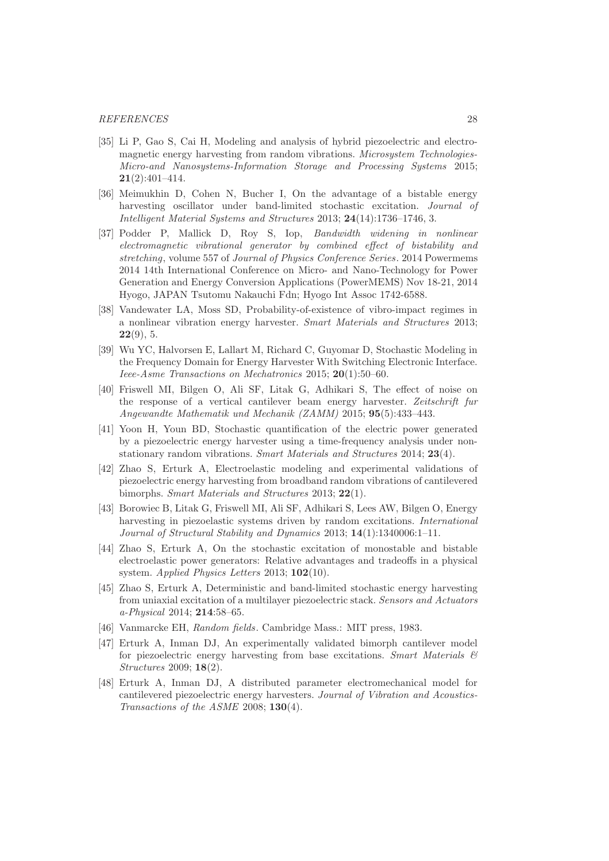- [35] Li P, Gao S, Cai H, Modeling and analysis of hybrid piezoelectric and electromagnetic energy harvesting from random vibrations. *Microsystem Technologies*-Micro-and Nanosystems-Information Storage and Processing Systems 2015; 21(2):401–414.
- [36] Meimukhin D, Cohen N, Bucher I, On the advantage of a bistable energy harvesting oscillator under band-limited stochastic excitation. Journal of Intelligent Material Systems and Structures 2013; 24(14):1736–1746, 3.
- [37] Podder P, Mallick D, Roy S, Iop, Bandwidth widening in nonlinear electromagnetic vibrational generator by combined effect of bistability and stretching, volume 557 of Journal of Physics Conference Series. 2014 Powermems 2014 14th International Conference on Micro- and Nano-Technology for Power Generation and Energy Conversion Applications (PowerMEMS) Nov 18-21, 2014 Hyogo, JAPAN Tsutomu Nakauchi Fdn; Hyogo Int Assoc 1742-6588.
- [38] Vandewater LA, Moss SD, Probability-of-existence of vibro-impact regimes in a nonlinear vibration energy harvester. Smart Materials and Structures 2013;  $22(9)$ , 5.
- [39] Wu YC, Halvorsen E, Lallart M, Richard C, Guyomar D, Stochastic Modeling in the Frequency Domain for Energy Harvester With Switching Electronic Interface. Ieee-Asme Transactions on Mechatronics 2015; 20(1):50–60.
- [40] Friswell MI, Bilgen O, Ali SF, Litak G, Adhikari S, The effect of noise on the response of a vertical cantilever beam energy harvester. Zeitschrift fur Angewandte Mathematik und Mechanik (ZAMM) 2015; 95(5):433–443.
- [41] Yoon H, Youn BD, Stochastic quantification of the electric power generated by a piezoelectric energy harvester using a time-frequency analysis under nonstationary random vibrations. Smart Materials and Structures 2014; 23(4).
- [42] Zhao S, Erturk A, Electroelastic modeling and experimental validations of piezoelectric energy harvesting from broadband random vibrations of cantilevered bimorphs. Smart Materials and Structures 2013; 22(1).
- [43] Borowiec B, Litak G, Friswell MI, Ali SF, Adhikari S, Lees AW, Bilgen O, Energy harvesting in piezoelastic systems driven by random excitations. International Journal of Structural Stability and Dynamics 2013; 14(1):1340006:1–11.
- [44] Zhao S, Erturk A, On the stochastic excitation of monostable and bistable electroelastic power generators: Relative advantages and tradeoffs in a physical system. Applied Physics Letters 2013; 102(10).
- [45] Zhao S, Erturk A, Deterministic and band-limited stochastic energy harvesting from uniaxial excitation of a multilayer piezoelectric stack. Sensors and Actuators a-Physical 2014; 214:58–65.
- [46] Vanmarcke EH, Random fields. Cambridge Mass.: MIT press, 1983.
- [47] Erturk A, Inman DJ, An experimentally validated bimorph cantilever model for piezoelectric energy harvesting from base excitations. Smart Materials  $\mathcal{B}$ Structures 2009; 18(2).
- [48] Erturk A, Inman DJ, A distributed parameter electromechanical model for cantilevered piezoelectric energy harvesters. Journal of Vibration and Acoustics-Transactions of the ASME 2008; 130(4).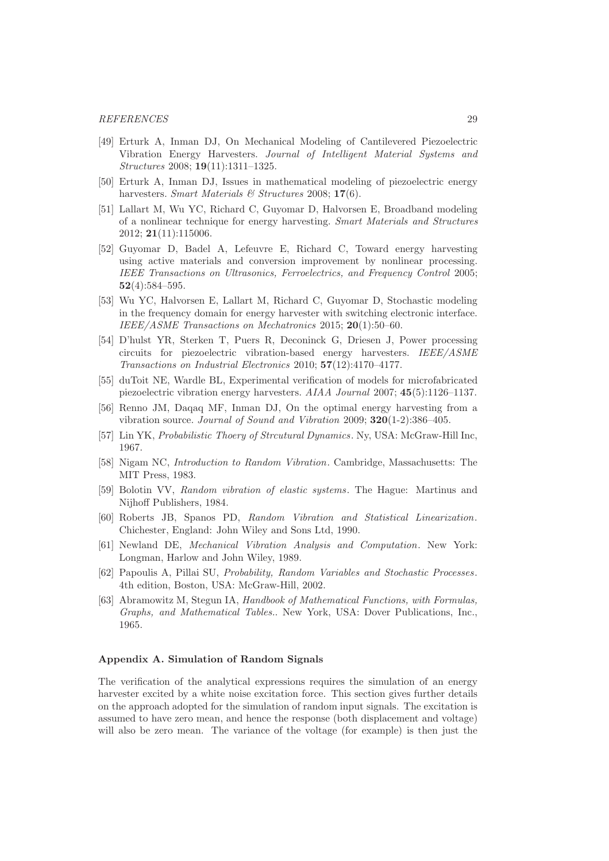- [49] Erturk A, Inman DJ, On Mechanical Modeling of Cantilevered Piezoelectric Vibration Energy Harvesters. Journal of Intelligent Material Systems and Structures 2008; 19(11):1311–1325.
- [50] Erturk A, Inman DJ, Issues in mathematical modeling of piezoelectric energy harvesters. Smart Materials & Structures 2008; 17(6).
- [51] Lallart M, Wu YC, Richard C, Guyomar D, Halvorsen E, Broadband modeling of a nonlinear technique for energy harvesting. Smart Materials and Structures 2012; 21(11):115006.
- [52] Guyomar D, Badel A, Lefeuvre E, Richard C, Toward energy harvesting using active materials and conversion improvement by nonlinear processing. IEEE Transactions on Ultrasonics, Ferroelectrics, and Frequency Control 2005; 52(4):584–595.
- [53] Wu YC, Halvorsen E, Lallart M, Richard C, Guyomar D, Stochastic modeling in the frequency domain for energy harvester with switching electronic interface. IEEE/ASME Transactions on Mechatronics 2015;  $20(1):50-60$ .
- [54] D'hulst YR, Sterken T, Puers R, Deconinck G, Driesen J, Power processing circuits for piezoelectric vibration-based energy harvesters. IEEE/ASME Transactions on Industrial Electronics 2010; 57(12):4170–4177.
- [55] duToit NE, Wardle BL, Experimental verification of models for microfabricated piezoelectric vibration energy harvesters. AIAA Journal 2007; 45(5):1126–1137.
- [56] Renno JM, Daqaq MF, Inman DJ, On the optimal energy harvesting from a vibration source. Journal of Sound and Vibration 2009; 320(1-2):386–405.
- [57] Lin YK, Probabilistic Thoery of Strcutural Dynamics. Ny, USA: McGraw-Hill Inc, 1967.
- [58] Nigam NC, Introduction to Random Vibration. Cambridge, Massachusetts: The MIT Press, 1983.
- [59] Bolotin VV, Random vibration of elastic systems. The Hague: Martinus and Nijhoff Publishers, 1984.
- [60] Roberts JB, Spanos PD, Random Vibration and Statistical Linearization. Chichester, England: John Wiley and Sons Ltd, 1990.
- [61] Newland DE, Mechanical Vibration Analysis and Computation. New York: Longman, Harlow and John Wiley, 1989.
- [62] Papoulis A, Pillai SU, Probability, Random Variables and Stochastic Processes. 4th edition, Boston, USA: McGraw-Hill, 2002.
- [63] Abramowitz M, Stegun IA, Handbook of Mathematical Functions, with Formulas, Graphs, and Mathematical Tables.. New York, USA: Dover Publications, Inc., 1965.

#### Appendix A. Simulation of Random Signals

The verification of the analytical expressions requires the simulation of an energy harvester excited by a white noise excitation force. This section gives further details on the approach adopted for the simulation of random input signals. The excitation is assumed to have zero mean, and hence the response (both displacement and voltage) will also be zero mean. The variance of the voltage (for example) is then just the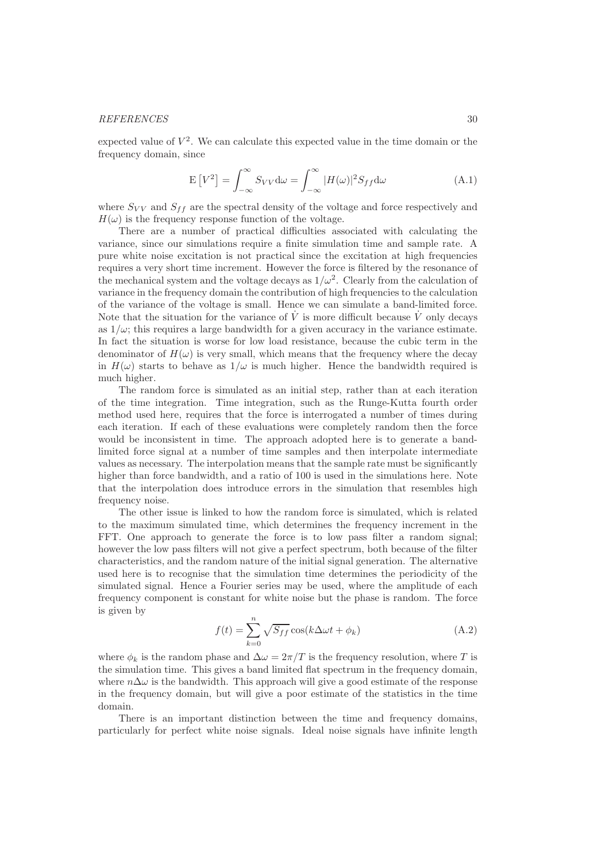expected value of  $V^2$ . We can calculate this expected value in the time domain or the frequency domain, since

$$
E[V^2] = \int_{-\infty}^{\infty} S_{VV} d\omega = \int_{-\infty}^{\infty} |H(\omega)|^2 S_{ff} d\omega \tag{A.1}
$$

where  $S_{VV}$  and  $S_{ff}$  are the spectral density of the voltage and force respectively and  $H(\omega)$  is the frequency response function of the voltage.

There are a number of practical difficulties associated with calculating the variance, since our simulations require a finite simulation time and sample rate. A pure white noise excitation is not practical since the excitation at high frequencies requires a very short time increment. However the force is filtered by the resonance of the mechanical system and the voltage decays as  $1/\omega^2$ . Clearly from the calculation of variance in the frequency domain the contribution of high frequencies to the calculation of the variance of the voltage is small. Hence we can simulate a band-limited force. Note that the situation for the variance of  $\dot{V}$  is more difficult because  $\dot{V}$  only decays as  $1/\omega$ ; this requires a large bandwidth for a given accuracy in the variance estimate. In fact the situation is worse for low load resistance, because the cubic term in the denominator of  $H(\omega)$  is very small, which means that the frequency where the decay in  $H(\omega)$  starts to behave as  $1/\omega$  is much higher. Hence the bandwidth required is much higher.

The random force is simulated as an initial step, rather than at each iteration of the time integration. Time integration, such as the Runge-Kutta fourth order method used here, requires that the force is interrogated a number of times during each iteration. If each of these evaluations were completely random then the force would be inconsistent in time. The approach adopted here is to generate a bandlimited force signal at a number of time samples and then interpolate intermediate values as necessary. The interpolation means that the sample rate must be significantly higher than force bandwidth, and a ratio of 100 is used in the simulations here. Note that the interpolation does introduce errors in the simulation that resembles high frequency noise.

The other issue is linked to how the random force is simulated, which is related to the maximum simulated time, which determines the frequency increment in the FFT. One approach to generate the force is to low pass filter a random signal; however the low pass filters will not give a perfect spectrum, both because of the filter characteristics, and the random nature of the initial signal generation. The alternative used here is to recognise that the simulation time determines the periodicity of the simulated signal. Hence a Fourier series may be used, where the amplitude of each frequency component is constant for white noise but the phase is random. The force is given by

$$
f(t) = \sum_{k=0}^{n} \sqrt{S_{ff}} \cos(k\Delta\omega t + \phi_k)
$$
 (A.2)

where  $\phi_k$  is the random phase and  $\Delta \omega = 2\pi/T$  is the frequency resolution, where T is the simulation time. This gives a band limited flat spectrum in the frequency domain, where  $n\Delta\omega$  is the bandwidth. This approach will give a good estimate of the response in the frequency domain, but will give a poor estimate of the statistics in the time domain.

There is an important distinction between the time and frequency domains, particularly for perfect white noise signals. Ideal noise signals have infinite length